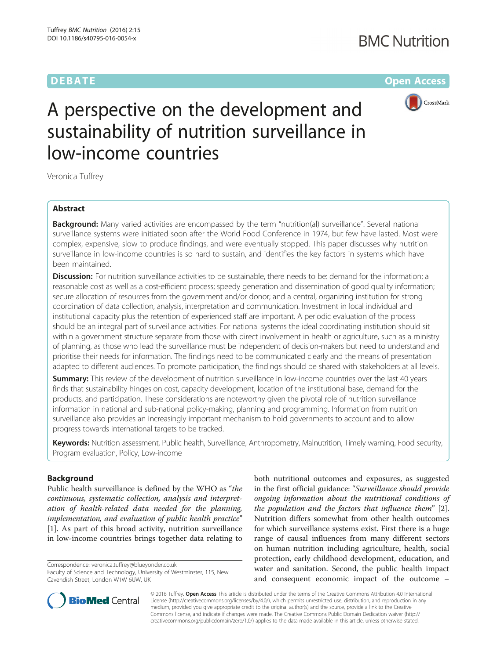**DEBATE CONSERVATION CONSERVATION CONSERVATION** 



# A perspective on the development and sustainability of nutrition surveillance in low-income countries

Veronica Tuffrey

# Abstract

**Background:** Many varied activities are encompassed by the term "nutrition(al) surveillance". Several national surveillance systems were initiated soon after the World Food Conference in 1974, but few have lasted. Most were complex, expensive, slow to produce findings, and were eventually stopped. This paper discusses why nutrition surveillance in low-income countries is so hard to sustain, and identifies the key factors in systems which have been maintained.

Discussion: For nutrition surveillance activities to be sustainable, there needs to be: demand for the information; a reasonable cost as well as a cost-efficient process; speedy generation and dissemination of good quality information; secure allocation of resources from the government and/or donor; and a central, organizing institution for strong coordination of data collection, analysis, interpretation and communication. Investment in local individual and institutional capacity plus the retention of experienced staff are important. A periodic evaluation of the process should be an integral part of surveillance activities. For national systems the ideal coordinating institution should sit within a government structure separate from those with direct involvement in health or agriculture, such as a ministry of planning, as those who lead the surveillance must be independent of decision-makers but need to understand and prioritise their needs for information. The findings need to be communicated clearly and the means of presentation adapted to different audiences. To promote participation, the findings should be shared with stakeholders at all levels.

**Summary:** This review of the development of nutrition surveillance in low-income countries over the last 40 years finds that sustainability hinges on cost, capacity development, location of the institutional base, demand for the products, and participation. These considerations are noteworthy given the pivotal role of nutrition surveillance information in national and sub-national policy-making, planning and programming. Information from nutrition surveillance also provides an increasingly important mechanism to hold governments to account and to allow progress towards international targets to be tracked.

Keywords: Nutrition assessment, Public health, Surveillance, Anthropometry, Malnutrition, Timely warning, Food security, Program evaluation, Policy, Low-income

## Background

Public health surveillance is defined by the WHO as "the continuous, systematic collection, analysis and interpretation of health-related data needed for the planning, implementation, and evaluation of public health practice" [[1\]](#page-14-0). As part of this broad activity, nutrition surveillance in low-income countries brings together data relating to

Correspondence: [veronica.tuffrey@blueyonder.co.uk](mailto:veronica.tuffrey@blueyonder.co.uk)

both nutritional outcomes and exposures, as suggested in the first official guidance: "Surveillance should provide ongoing information about the nutritional conditions of the population and the factors that influence them" [\[2](#page-14-0)]. Nutrition differs somewhat from other health outcomes for which surveillance systems exist. First there is a huge range of causal influences from many different sectors on human nutrition including agriculture, health, social protection, early childhood development, education, and water and sanitation. Second, the public health impact and consequent economic impact of the outcome –



© 2016 Tuffrey. Open Access This article is distributed under the terms of the Creative Commons Attribution 4.0 International License ([http://creativecommons.org/licenses/by/4.0/\)](http://creativecommons.org/licenses/by/4.0/), which permits unrestricted use, distribution, and reproduction in any medium, provided you give appropriate credit to the original author(s) and the source, provide a link to the Creative Commons license, and indicate if changes were made. The Creative Commons Public Domain Dedication waiver ([http://](http://creativecommons.org/publicdomain/zero/1.0/) [creativecommons.org/publicdomain/zero/1.0/\)](http://creativecommons.org/publicdomain/zero/1.0/) applies to the data made available in this article, unless otherwise stated.

Faculty of Science and Technology, University of Westminster, 115, New Cavendish Street, London W1W 6UW, UK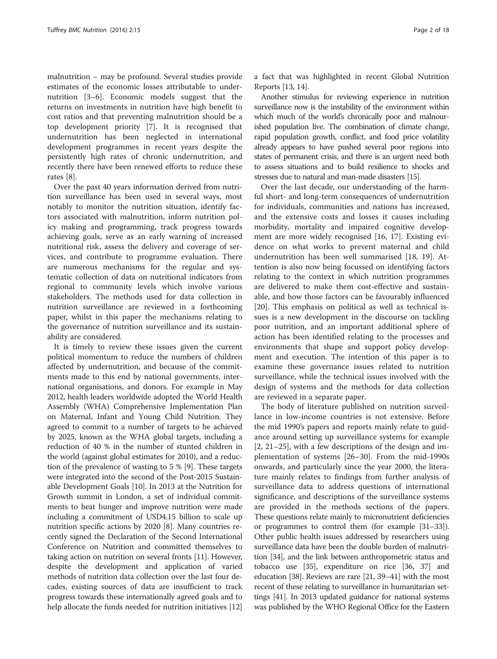malnutrition – may be profound. Several studies provide estimates of the economic losses attributable to undernutrition [[3](#page-14-0)–[6](#page-14-0)]. Economic models suggest that the returns on investments in nutrition have high benefit to cost ratios and that preventing malnutrition should be a top development priority [\[7](#page-14-0)]. It is recognised that undernutrition has been neglected in international development programmes in recent years despite the persistently high rates of chronic undernutrition, and recently there have been renewed efforts to reduce these rates [\[8](#page-14-0)].

Over the past 40 years information derived from nutrition surveillance has been used in several ways, most notably to monitor the nutrition situation, identify factors associated with malnutrition, inform nutrition policy making and programming, track progress towards achieving goals, serve as an early warning of increased nutritional risk, assess the delivery and coverage of services, and contribute to programme evaluation. There are numerous mechanisms for the regular and systematic collection of data on nutritional indicators from regional to community levels which involve various stakeholders. The methods used for data collection in nutrition surveillance are reviewed in a forthcoming paper, whilst in this paper the mechanisms relating to the governance of nutrition surveillance and its sustainability are considered.

It is timely to review these issues given the current political momentum to reduce the numbers of children affected by undernutrition, and because of the commitments made to this end by national governments, international organisations, and donors. For example in May 2012, health leaders worldwide adopted the World Health Assembly (WHA) Comprehensive Implementation Plan on Maternal, Infant and Young Child Nutrition. They agreed to commit to a number of targets to be achieved by 2025, known as the WHA global targets, including a reduction of 40 % in the number of stunted children in the world (against global estimates for 2010), and a reduction of the prevalence of wasting to 5 % [[9\]](#page-14-0). These targets were integrated into the second of the Post-2015 Sustainable Development Goals [\[10\]](#page-14-0). In 2013 at the Nutrition for Growth summit in London, a set of individual commitments to beat hunger and improve nutrition were made including a commitment of USD4.15 billion to scale up nutrition specific actions by 2020 [[8\]](#page-14-0). Many countries recently signed the Declaration of the Second International Conference on Nutrition and committed themselves to taking action on nutrition on several fronts [[11](#page-14-0)]. However, despite the development and application of varied methods of nutrition data collection over the last four decades, existing sources of data are insufficient to track progress towards these internationally agreed goals and to help allocate the funds needed for nutrition initiatives [[12](#page-14-0)] a fact that was highlighted in recent Global Nutrition Reports [\[13, 14](#page-14-0)].

Another stimulus for reviewing experience in nutrition surveillance now is the instability of the environment within which much of the world's chronically poor and malnourished population live. The combination of climate change, rapid population growth, conflict, and food price volatility already appears to have pushed several poor regions into states of permanent crisis, and there is an urgent need both to assess situations and to build resilience to shocks and stresses due to natural and man-made disasters [\[15\]](#page-14-0).

Over the last decade, our understanding of the harmful short- and long-term consequences of undernutrition for individuals, communities and nations has increased, and the extensive costs and losses it causes including morbidity, mortality and impaired cognitive development are more widely recognised [\[16, 17\]](#page-14-0). Existing evidence on what works to prevent maternal and child undernutrition has been well summarised [\[18, 19](#page-14-0)]. Attention is also now being focussed on identifying factors relating to the context in which nutrition programmes are delivered to make them cost-effective and sustainable, and how those factors can be favourably influenced [[20\]](#page-14-0). This emphasis on political as well as technical issues is a new development in the discourse on tackling poor nutrition, and an important additional sphere of action has been identified relating to the processes and environments that shape and support policy development and execution. The intention of this paper is to examine these governance issues related to nutrition surveillance, while the technical issues involved with the design of systems and the methods for data collection are reviewed in a separate paper.

The body of literature published on nutrition surveillance in low-income countries is not extensive. Before the mid 1990's papers and reports mainly relate to guidance around setting up surveillance systems for example [[2, 21](#page-14-0)–[25\]](#page-15-0), with a few descriptions of the design and implementation of systems [[26](#page-15-0)–[30](#page-15-0)]. From the mid-1990s onwards, and particularly since the year 2000, the literature mainly relates to findings from further analysis of surveillance data to address questions of international significance, and descriptions of the surveillance systems are provided in the methods sections of the papers. These questions relate mainly to micronutrient deficiencies or programmes to control them (for example [[31](#page-15-0)–[33](#page-15-0)]). Other public health issues addressed by researchers using surveillance data have been the double burden of malnutrition [[34](#page-15-0)], and the link between anthropometric status and tobacco use [\[35\]](#page-15-0), expenditure on rice [\[36, 37](#page-15-0)] and education [\[38\]](#page-15-0). Reviews are rare [\[21](#page-14-0), [39](#page-15-0)–[41](#page-15-0)] with the most recent of these relating to surveillance in humanitarian settings [\[41\]](#page-15-0). In 2013 updated guidance for national systems was published by the WHO Regional Office for the Eastern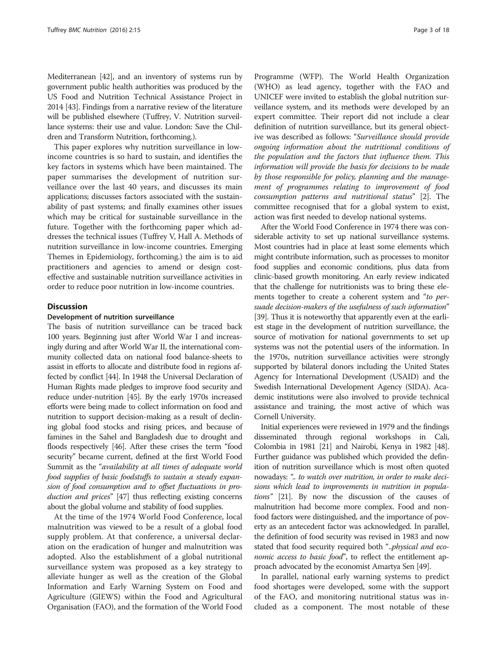Mediterranean [\[42\]](#page-15-0), and an inventory of systems run by government public health authorities was produced by the US Food and Nutrition Technical Assistance Project in 2014 [\[43\]](#page-15-0). Findings from a narrative review of the literature will be published elsewhere (Tuffrey, V. Nutrition surveillance systems: their use and value. London: Save the Children and Transform Nutrition, forthcoming.).

This paper explores why nutrition surveillance in lowincome countries is so hard to sustain, and identifies the key factors in systems which have been maintained. The paper summarises the development of nutrition surveillance over the last 40 years, and discusses its main applications; discusses factors associated with the sustainability of past systems; and finally examines other issues which may be critical for sustainable surveillance in the future. Together with the forthcoming paper which addresses the technical issues (Tuffrey V, Hall A. Methods of nutrition surveillance in low-income countries. Emerging Themes in Epidemiology, forthcoming.) the aim is to aid practitioners and agencies to amend or design costeffective and sustainable nutrition surveillance activities in order to reduce poor nutrition in low-income countries.

#### **Discussion**

#### Development of nutrition surveillance

The basis of nutrition surveillance can be traced back 100 years. Beginning just after World War I and increasingly during and after World War II, the international community collected data on national food balance-sheets to assist in efforts to allocate and distribute food in regions affected by conflict [[44](#page-15-0)]. In 1948 the Universal Declaration of Human Rights made pledges to improve food security and reduce under-nutrition [\[45\]](#page-15-0). By the early 1970s increased efforts were being made to collect information on food and nutrition to support decision-making as a result of declining global food stocks and rising prices, and because of famines in the Sahel and Bangladesh due to drought and floods respectively [\[46](#page-15-0)]. After these crises the term "food security" became current, defined at the first World Food Summit as the "availability at all times of adequate world food supplies of basic foodstuffs to sustain a steady expansion of food consumption and to offset fluctuations in production and prices" [[47](#page-15-0)] thus reflecting existing concerns about the global volume and stability of food supplies.

At the time of the 1974 World Food Conference, local malnutrition was viewed to be a result of a global food supply problem. At that conference, a universal declaration on the eradication of hunger and malnutrition was adopted. Also the establishment of a global nutritional surveillance system was proposed as a key strategy to alleviate hunger as well as the creation of the Global Information and Early Warning System on Food and Agriculture (GIEWS) within the Food and Agricultural Organisation (FAO), and the formation of the World Food

Programme (WFP). The World Health Organization (WHO) as lead agency, together with the FAO and UNICEF were invited to establish the global nutrition surveillance system, and its methods were developed by an expert committee. Their report did not include a clear definition of nutrition surveillance, but its general objective was described as follows: "Surveillance should provide ongoing information about the nutritional conditions of the population and the factors that influence them. This information will provide the basis for decisions to be made by those responsible for policy, planning and the management of programmes relating to improvement of food consumption patterns and nutritional status" [[2](#page-14-0)]. The committee recognised that for a global system to exist, action was first needed to develop national systems.

After the World Food Conference in 1974 there was considerable activity to set up national surveillance systems. Most countries had in place at least some elements which might contribute information, such as processes to monitor food supplies and economic conditions, plus data from clinic-based growth monitoring. An early review indicated that the challenge for nutritionists was to bring these elements together to create a coherent system and "to persuade decision-makers of the usefulness of such information" [[39](#page-15-0)]. Thus it is noteworthy that apparently even at the earliest stage in the development of nutrition surveillance, the source of motivation for national governments to set up systems was not the potential users of the information. In the 1970s, nutrition surveillance activities were strongly supported by bilateral donors including the United States Agency for International Development (USAID) and the Swedish International Development Agency (SIDA). Academic institutions were also involved to provide technical assistance and training, the most active of which was Cornell University.

Initial experiences were reviewed in 1979 and the findings disseminated through regional workshops in Cali, Colombia in 1981 [[21\]](#page-14-0) and Nairobi, Kenya in 1982 [\[48](#page-15-0)]. Further guidance was published which provided the definition of nutrition surveillance which is most often quoted nowadays: ".. to watch over nutrition, in order to make decisions which lead to improvements in nutrition in populations" [\[21\]](#page-14-0). By now the discussion of the causes of malnutrition had become more complex. Food and nonfood factors were distinguished, and the importance of poverty as an antecedent factor was acknowledged. In parallel, the definition of food security was revised in 1983 and now stated that food security required both "..physical and economic access to basic food", to reflect the entitlement approach advocated by the economist Amartya Sen [\[49\]](#page-15-0).

In parallel, national early warning systems to predict food shortages were developed, some with the support of the FAO, and monitoring nutritional status was included as a component. The most notable of these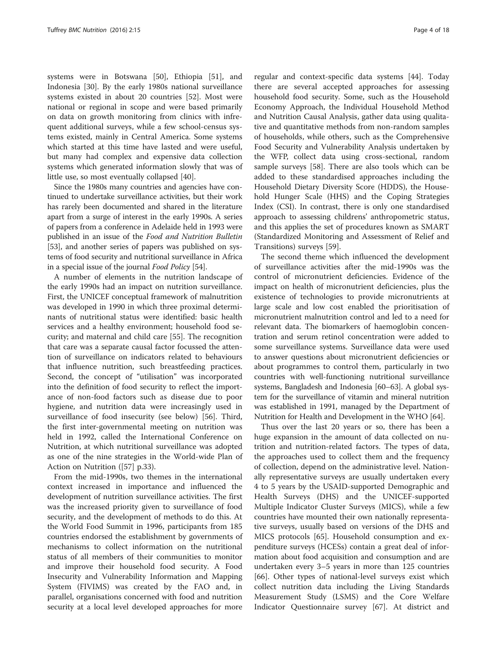systems were in Botswana [[50](#page-15-0)], Ethiopia [\[51](#page-15-0)], and Indonesia [[30](#page-15-0)]. By the early 1980s national surveillance systems existed in about 20 countries [[52\]](#page-15-0). Most were national or regional in scope and were based primarily on data on growth monitoring from clinics with infrequent additional surveys, while a few school-census systems existed, mainly in Central America. Some systems which started at this time have lasted and were useful, but many had complex and expensive data collection systems which generated information slowly that was of little use, so most eventually collapsed [[40](#page-15-0)].

Since the 1980s many countries and agencies have continued to undertake surveillance activities, but their work has rarely been documented and shared in the literature apart from a surge of interest in the early 1990s. A series of papers from a conference in Adelaide held in 1993 were published in an issue of the Food and Nutrition Bulletin [[53](#page-15-0)], and another series of papers was published on systems of food security and nutritional surveillance in Africa in a special issue of the journal Food Policy [\[54](#page-15-0)].

A number of elements in the nutrition landscape of the early 1990s had an impact on nutrition surveillance. First, the UNICEF conceptual framework of malnutrition was developed in 1990 in which three proximal determinants of nutritional status were identified: basic health services and a healthy environment; household food security; and maternal and child care [[55](#page-15-0)]. The recognition that care was a separate causal factor focussed the attention of surveillance on indicators related to behaviours that influence nutrition, such breastfeeding practices. Second, the concept of "utilisation" was incorporated into the definition of food security to reflect the importance of non-food factors such as disease due to poor hygiene, and nutrition data were increasingly used in surveillance of food insecurity (see below) [\[56](#page-15-0)]. Third, the first inter-governmental meeting on nutrition was held in 1992, called the International Conference on Nutrition, at which nutritional surveillance was adopted as one of the nine strategies in the World-wide Plan of Action on Nutrition ([\[57](#page-15-0)] p.33).

From the mid-1990s, two themes in the international context increased in importance and influenced the development of nutrition surveillance activities. The first was the increased priority given to surveillance of food security, and the development of methods to do this. At the World Food Summit in 1996, participants from 185 countries endorsed the establishment by governments of mechanisms to collect information on the nutritional status of all members of their communities to monitor and improve their household food security. A Food Insecurity and Vulnerability Information and Mapping System (FIVIMS) was created by the FAO and, in parallel, organisations concerned with food and nutrition security at a local level developed approaches for more

regular and context-specific data systems [\[44](#page-15-0)]. Today there are several accepted approaches for assessing household food security. Some, such as the Household Economy Approach, the Individual Household Method and Nutrition Causal Analysis, gather data using qualitative and quantitative methods from non-random samples of households, while others, such as the Comprehensive Food Security and Vulnerability Analysis undertaken by the WFP, collect data using cross-sectional, random sample surveys [[58](#page-15-0)]. There are also tools which can be added to these standardised approaches including the Household Dietary Diversity Score (HDDS), the Household Hunger Scale (HHS) and the Coping Strategies Index (CSI). In contrast, there is only one standardised approach to assessing childrens' anthropometric status, and this applies the set of procedures known as SMART (Standardized Monitoring and Assessment of Relief and Transitions) surveys [[59](#page-15-0)].

The second theme which influenced the development of surveillance activities after the mid-1990s was the control of micronutrient deficiencies. Evidence of the impact on health of micronutrient deficiencies, plus the existence of technologies to provide micronutrients at large scale and low cost enabled the prioritisation of micronutrient malnutrition control and led to a need for relevant data. The biomarkers of haemoglobin concentration and serum retinol concentration were added to some surveillance systems. Surveillance data were used to answer questions about micronutrient deficiencies or about programmes to control them, particularly in two countries with well-functioning nutritional surveillance systems, Bangladesh and Indonesia [[60](#page-15-0)–[63\]](#page-15-0). A global system for the surveillance of vitamin and mineral nutrition was established in 1991, managed by the Department of Nutrition for Health and Development in the WHO [[64](#page-15-0)].

Thus over the last 20 years or so, there has been a huge expansion in the amount of data collected on nutrition and nutrition-related factors. The types of data, the approaches used to collect them and the frequency of collection, depend on the administrative level. Nationally representative surveys are usually undertaken every 4 to 5 years by the USAID-supported Demographic and Health Surveys (DHS) and the UNICEF-supported Multiple Indicator Cluster Surveys (MICS), while a few countries have mounted their own nationally representative surveys, usually based on versions of the DHS and MICS protocols [\[65\]](#page-15-0). Household consumption and expenditure surveys (HCESs) contain a great deal of information about food acquisition and consumption and are undertaken every 3–5 years in more than 125 countries [[66\]](#page-15-0). Other types of national-level surveys exist which collect nutrition data including the Living Standards Measurement Study (LSMS) and the Core Welfare Indicator Questionnaire survey [[67](#page-15-0)]. At district and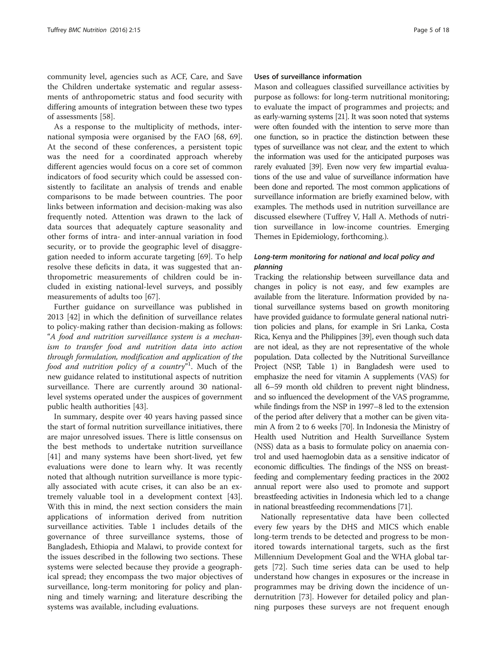community level, agencies such as ACF, Care, and Save the Children undertake systematic and regular assessments of anthropometric status and food security with differing amounts of integration between these two types of assessments [[58\]](#page-15-0).

As a response to the multiplicity of methods, international symposia were organised by the FAO [\[68](#page-16-0), [69](#page-16-0)]. At the second of these conferences, a persistent topic was the need for a coordinated approach whereby different agencies would focus on a core set of common indicators of food security which could be assessed consistently to facilitate an analysis of trends and enable comparisons to be made between countries. The poor links between information and decision-making was also frequently noted. Attention was drawn to the lack of data sources that adequately capture seasonality and other forms of intra- and inter-annual variation in food security, or to provide the geographic level of disaggregation needed to inform accurate targeting [[69\]](#page-16-0). To help resolve these deficits in data, it was suggested that anthropometric measurements of children could be included in existing national-level surveys, and possibly measurements of adults too [[67\]](#page-15-0).

Further guidance on surveillance was published in 2013 [\[42](#page-15-0)] in which the definition of surveillance relates to policy-making rather than decision-making as follows: "A food and nutrition surveillance system is a mechanism to transfer food and nutrition data into action through formulation, modification and application of the food and nutrition policy of a country"<sup>1</sup>. Much of the new guidance related to institutional aspects of nutrition surveillance. There are currently around 30 nationallevel systems operated under the auspices of government public health authorities [\[43](#page-15-0)].

In summary, despite over 40 years having passed since the start of formal nutrition surveillance initiatives, there are major unresolved issues. There is little consensus on the best methods to undertake nutrition surveillance [[41\]](#page-15-0) and many systems have been short-lived, yet few evaluations were done to learn why. It was recently noted that although nutrition surveillance is more typically associated with acute crises, it can also be an extremely valuable tool in a development context [\[43](#page-15-0)]. With this in mind, the next section considers the main applications of information derived from nutrition surveillance activities. Table [1](#page-5-0) includes details of the governance of three surveillance systems, those of Bangladesh, Ethiopia and Malawi, to provide context for the issues described in the following two sections. These systems were selected because they provide a geographical spread; they encompass the two major objectives of surveillance, long-term monitoring for policy and planning and timely warning; and literature describing the systems was available, including evaluations.

#### Uses of surveillance information

Mason and colleagues classified surveillance activities by purpose as follows: for long-term nutritional monitoring; to evaluate the impact of programmes and projects; and as early-warning systems [[21\]](#page-14-0). It was soon noted that systems were often founded with the intention to serve more than one function, so in practice the distinction between these types of surveillance was not clear, and the extent to which the information was used for the anticipated purposes was rarely evaluated [\[39\]](#page-15-0). Even now very few impartial evaluations of the use and value of surveillance information have been done and reported. The most common applications of surveillance information are briefly examined below, with examples. The methods used in nutrition surveillance are discussed elsewhere (Tuffrey V, Hall A. Methods of nutrition surveillance in low-income countries. Emerging Themes in Epidemiology, forthcoming.).

### Long-term monitoring for national and local policy and planning

Tracking the relationship between surveillance data and changes in policy is not easy, and few examples are available from the literature. Information provided by national surveillance systems based on growth monitoring have provided guidance to formulate general national nutrition policies and plans, for example in Sri Lanka, Costa Rica, Kenya and the Philippines [\[39\]](#page-15-0), even though such data are not ideal, as they are not representative of the whole population. Data collected by the Nutritional Surveillance Project (NSP, Table [1](#page-5-0)) in Bangladesh were used to emphasize the need for vitamin A supplements (VAS) for all 6–59 month old children to prevent night blindness, and so influenced the development of the VAS programme, while findings from the NSP in 1997–8 led to the extension of the period after delivery that a mother can be given vitamin A from 2 to 6 weeks [\[70\]](#page-16-0). In Indonesia the Ministry of Health used Nutrition and Health Surveillance System (NSS) data as a basis to formulate policy on anaemia control and used haemoglobin data as a sensitive indicator of economic difficulties. The findings of the NSS on breastfeeding and complementary feeding practices in the 2002 annual report were also used to promote and support breastfeeding activities in Indonesia which led to a change in national breastfeeding recommendations [[71](#page-16-0)].

Nationally representative data have been collected every few years by the DHS and MICS which enable long-term trends to be detected and progress to be monitored towards international targets, such as the first Millennium Development Goal and the WHA global targets [\[72](#page-16-0)]. Such time series data can be used to help understand how changes in exposures or the increase in programmes may be driving down the incidence of undernutrition [\[73\]](#page-16-0). However for detailed policy and planning purposes these surveys are not frequent enough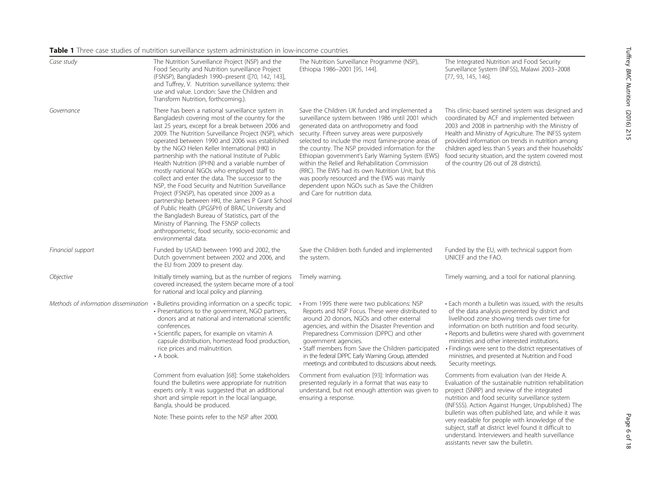# <span id="page-5-0"></span>Table 1 Three case studies of nutrition surveillance system administration in low-income countries

| Case study                           | The Nutrition Surveillance Project (NSP) and the<br>Food Security and Nutrition surveillance Project<br>(FSNSP), Bangladesh 1990-present ([70, 142, 143],<br>and Tuffrey, V. Nutrition surveillance systems: their<br>use and value. London: Save the Children and<br>Transform Nutrition, forthcoming.).                                                                                                                                                                                                                                                                                                                                                                                                                                                                                                                                                                                                                    | The Nutrition Surveillance Programme (NSP),<br>Ethiopia 1986-2001 [95, 144].                                                                                                                                                                                                                                                                                                                                                                                                                                                                                                                                | The Integrated Nutrition and Food Security<br>Surveillance System (INFSS), Malawi 2003-2008<br>$[77, 93, 145, 146]$ .                                                                                                                                                                                                                                                                                                                                                                                                     |
|--------------------------------------|------------------------------------------------------------------------------------------------------------------------------------------------------------------------------------------------------------------------------------------------------------------------------------------------------------------------------------------------------------------------------------------------------------------------------------------------------------------------------------------------------------------------------------------------------------------------------------------------------------------------------------------------------------------------------------------------------------------------------------------------------------------------------------------------------------------------------------------------------------------------------------------------------------------------------|-------------------------------------------------------------------------------------------------------------------------------------------------------------------------------------------------------------------------------------------------------------------------------------------------------------------------------------------------------------------------------------------------------------------------------------------------------------------------------------------------------------------------------------------------------------------------------------------------------------|---------------------------------------------------------------------------------------------------------------------------------------------------------------------------------------------------------------------------------------------------------------------------------------------------------------------------------------------------------------------------------------------------------------------------------------------------------------------------------------------------------------------------|
| Governance                           | There has been a national surveillance system in<br>Bangladesh covering most of the country for the<br>last 25 years, except for a break between 2006 and<br>2009. The Nutrition Surveillance Project (NSP), which<br>operated between 1990 and 2006 was established<br>by the NGO Helen Keller International (HKI) in<br>partnership with the national Institute of Public<br>Health Nutrition (IPHN) and a variable number of<br>mostly national NGOs who employed staff to<br>collect and enter the data. The successor to the<br>NSP, the Food Security and Nutrition Surveillance<br>Project (FSNSP), has operated since 2009 as a<br>partnership between HKI, the James P Grant School<br>of Public Health (JPGSPH) of BRAC University and<br>the Bangladesh Bureau of Statistics, part of the<br>Ministry of Planning. The FSNSP collects<br>anthropometric, food security, socio-economic and<br>environmental data. | Save the Children UK funded and implemented a<br>surveillance system between 1986 until 2001 which<br>generated data on anthropometry and food<br>security. Fifteen survey areas were purposively<br>selected to include the most famine-prone areas of<br>the country. The NSP provided information for the<br>Ethiopian government's Early Warning System (EWS)<br>within the Relief and Rehabilitation Commission<br>(RRC). The EWS had its own Nutrition Unit, but this<br>was poorly resourced and the EWS was mainly<br>dependent upon NGOs such as Save the Children<br>and Care for nutrition data. | This clinic-based sentinel system was designed and<br>coordinated by ACF and implemented between<br>2003 and 2008 in partnership with the Ministry of<br>Health and Ministry of Agriculture. The INFSS system<br>provided information on trends in nutrition among<br>children aged less than 5 years and their households'<br>food security situation, and the system covered most<br>of the country (26 out of 28 districts).                                                                                           |
| Financial support                    | Funded by USAID between 1990 and 2002, the<br>Dutch government between 2002 and 2006, and<br>the EU from 2009 to present day.                                                                                                                                                                                                                                                                                                                                                                                                                                                                                                                                                                                                                                                                                                                                                                                                | Save the Children both funded and implemented<br>the system.                                                                                                                                                                                                                                                                                                                                                                                                                                                                                                                                                | Funded by the EU, with technical support from<br>UNICEF and the FAO.                                                                                                                                                                                                                                                                                                                                                                                                                                                      |
| Objective                            | Initially timely warning, but as the number of regions<br>covered increased, the system became more of a tool<br>for national and local policy and planning.                                                                                                                                                                                                                                                                                                                                                                                                                                                                                                                                                                                                                                                                                                                                                                 | Timely warning.                                                                                                                                                                                                                                                                                                                                                                                                                                                                                                                                                                                             | Timely warning, and a tool for national planning.                                                                                                                                                                                                                                                                                                                                                                                                                                                                         |
| Methods of information dissemination | · Bulletins providing information on a specific topic.<br>· Presentations to the government, NGO partners,<br>donors and at national and international scientific<br>conferences.<br>· Scientific papers, for example on vitamin A<br>capsule distribution, homestead food production,<br>rice prices and malnutrition.<br>$\cdot$ A book.                                                                                                                                                                                                                                                                                                                                                                                                                                                                                                                                                                                   | · From 1995 there were two publications: NSP<br>Reports and NSP Focus. These were distributed to<br>around 20 donors, NGOs and other external<br>agencies, and within the Disaster Prevention and<br>Preparedness Commission (DPPC) and other<br>government agencies.<br>• Staff members from Save the Children participated<br>in the federal DPPC Early Warning Group, attended<br>meetings and contributed to discussions about needs.                                                                                                                                                                   | • Each month a bulletin was issued, with the results<br>of the data analysis presented by district and<br>livelihood zone showing trends over time for<br>information on both nutrition and food security.<br>• Reports and bulletins were shared with government<br>ministries and other interested institutions.<br>• Findings were sent to the district representatives of<br>ministries, and presented at Nutrition and Food<br>Security meetings.                                                                    |
|                                      | Comment from evaluation [68]: Some stakeholders<br>found the bulletins were appropriate for nutrition<br>experts only. It was suggested that an additional<br>short and simple report in the local language,<br>Bangla, should be produced.<br>Note: These points refer to the NSP after 2000.                                                                                                                                                                                                                                                                                                                                                                                                                                                                                                                                                                                                                               | Comment from evaluation [93]: Information was<br>presented regularly in a format that was easy to<br>understand, but not enough attention was given to<br>ensuring a response.                                                                                                                                                                                                                                                                                                                                                                                                                              | Comments from evaluation (van der Heide A.<br>Evaluation of the sustainable nutrition rehabilitation<br>project (SNRP) and review of the integrated<br>nutrition and food security surveillance system<br>(INFSSS). Action Against Hunger, Unpublished.) The<br>bulletin was often published late, and while it was<br>very readable for people with knowledge of the<br>subject, staff at district level found it difficult to<br>understand. Interviewers and health surveillance<br>assistants never saw the bulletin. |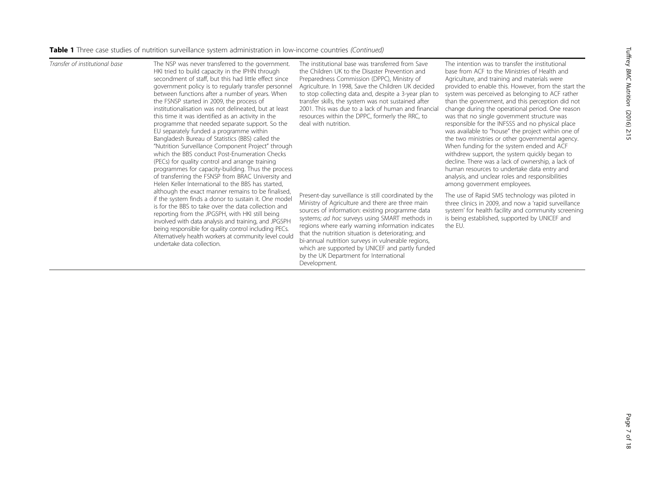# Table 1 Three case studies of nutrition surveillance system administration in low-income countries (Continued)

| Transfer of institutional base | The NSP was never transferred to the government.<br>HKI tried to build capacity in the IPHN through<br>secondment of staff, but this had little effect since<br>government policy is to regularly transfer personnel<br>between functions after a number of years. When<br>the FSNSP started in 2009, the process of<br>institutionalisation was not delineated, but at least<br>this time it was identified as an activity in the<br>programme that needed separate support. So the<br>EU separately funded a programme within<br>Bangladesh Bureau of Statistics (BBS) called the<br>"Nutrition Surveillance Component Project" through<br>which the BBS conduct Post-Enumeration Checks<br>(PECs) for quality control and arrange training<br>programmes for capacity-building. Thus the process<br>of transferring the FSNSP from BRAC University and<br>Helen Keller International to the BBS has started.<br>although the exact manner remains to be finalised,<br>if the system finds a donor to sustain it. One model<br>is for the BBS to take over the data collection and<br>reporting from the JPGSPH, with HKI still being<br>involved with data analysis and training, and JPGSPH<br>being responsible for quality control including PECs.<br>Alternatively health workers at community level could<br>undertake data collection. | The institutional base was transferred from Save<br>the Children UK to the Disaster Prevention and<br>Preparedness Commission (DPPC), Ministry of<br>Agriculture. In 1998, Save the Children UK decided<br>to stop collecting data and, despite a 3-year plan to<br>transfer skills, the system was not sustained after<br>2001. This was due to a lack of human and financial<br>resources within the DPPC, formerly the RRC, to<br>deal with nutrition.                                   | The intention was to transfer the institutional<br>base from ACF to the Ministries of Health and<br>Agriculture, and training and materials were<br>provided to enable this. However, from the start the<br>system was perceived as belonging to ACF rather<br>than the government, and this perception did not<br>change during the operational period. One reason<br>was that no single government structure was<br>responsible for the INFSSS and no physical place<br>was available to "house" the project within one of<br>the two ministries or other governmental agency.<br>When funding for the system ended and ACF<br>withdrew support, the system quickly began to<br>decline. There was a lack of ownership, a lack of<br>human resources to undertake data entry and<br>analysis, and unclear roles and responsibilities<br>among government employees. |
|--------------------------------|-------------------------------------------------------------------------------------------------------------------------------------------------------------------------------------------------------------------------------------------------------------------------------------------------------------------------------------------------------------------------------------------------------------------------------------------------------------------------------------------------------------------------------------------------------------------------------------------------------------------------------------------------------------------------------------------------------------------------------------------------------------------------------------------------------------------------------------------------------------------------------------------------------------------------------------------------------------------------------------------------------------------------------------------------------------------------------------------------------------------------------------------------------------------------------------------------------------------------------------------------------------------------------------------------------------------------------------------------|---------------------------------------------------------------------------------------------------------------------------------------------------------------------------------------------------------------------------------------------------------------------------------------------------------------------------------------------------------------------------------------------------------------------------------------------------------------------------------------------|-----------------------------------------------------------------------------------------------------------------------------------------------------------------------------------------------------------------------------------------------------------------------------------------------------------------------------------------------------------------------------------------------------------------------------------------------------------------------------------------------------------------------------------------------------------------------------------------------------------------------------------------------------------------------------------------------------------------------------------------------------------------------------------------------------------------------------------------------------------------------|
|                                |                                                                                                                                                                                                                                                                                                                                                                                                                                                                                                                                                                                                                                                                                                                                                                                                                                                                                                                                                                                                                                                                                                                                                                                                                                                                                                                                                 | Present-day surveillance is still coordinated by the<br>Ministry of Agriculture and there are three main<br>sources of information: existing programme data<br>systems; ad hoc surveys using SMART methods in<br>regions where early warning information indicates<br>that the nutrition situation is deteriorating; and<br>bi-annual nutrition surveys in vulnerable regions,<br>which are supported by UNICEF and partly funded<br>by the UK Department for International<br>Development. | The use of Rapid SMS technology was piloted in<br>three clinics in 2009, and now a 'rapid surveillance<br>system' for health facility and community screening<br>is being established, supported by UNICEF and<br>the EU.                                                                                                                                                                                                                                                                                                                                                                                                                                                                                                                                                                                                                                             |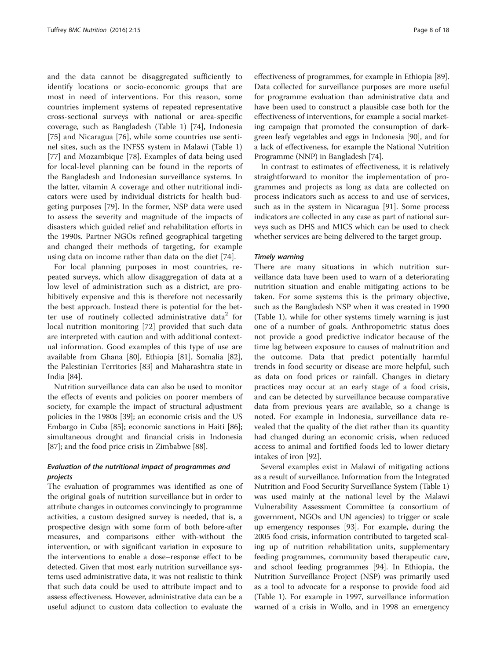and the data cannot be disaggregated sufficiently to identify locations or socio-economic groups that are most in need of interventions. For this reason, some countries implement systems of repeated representative cross-sectional surveys with national or area-specific coverage, such as Bangladesh (Table [1](#page-5-0)) [\[74](#page-16-0)], Indonesia [[75\]](#page-16-0) and Nicaragua [[76\]](#page-16-0), while some countries use sentinel sites, such as the INFSS system in Malawi (Table [1](#page-5-0)) [[77\]](#page-16-0) and Mozambique [\[78](#page-16-0)]. Examples of data being used for local-level planning can be found in the reports of the Bangladesh and Indonesian surveillance systems. In the latter, vitamin A coverage and other nutritional indicators were used by individual districts for health budgeting purposes [[79\]](#page-16-0). In the former, NSP data were used to assess the severity and magnitude of the impacts of disasters which guided relief and rehabilitation efforts in the 1990s. Partner NGOs refined geographical targeting and changed their methods of targeting, for example using data on income rather than data on the diet [[74\]](#page-16-0).

For local planning purposes in most countries, repeated surveys, which allow disaggregation of data at a low level of administration such as a district, are prohibitively expensive and this is therefore not necessarily the best approach. Instead there is potential for the better use of routinely collected administrative data<sup>2</sup> for local nutrition monitoring [\[72](#page-16-0)] provided that such data are interpreted with caution and with additional contextual information. Good examples of this type of use are available from Ghana [[80\]](#page-16-0), Ethiopia [[81\]](#page-16-0), Somalia [\[82](#page-16-0)], the Palestinian Territories [\[83](#page-16-0)] and Maharashtra state in India [[84](#page-16-0)].

Nutrition surveillance data can also be used to monitor the effects of events and policies on poorer members of society, for example the impact of structural adjustment policies in the 1980s [[39](#page-15-0)]; an economic crisis and the US Embargo in Cuba [[85](#page-16-0)]; economic sanctions in Haiti [[86](#page-16-0)]; simultaneous drought and financial crisis in Indonesia [[87](#page-16-0)]; and the food price crisis in Zimbabwe [\[88\]](#page-16-0).

### Evaluation of the nutritional impact of programmes and projects

The evaluation of programmes was identified as one of the original goals of nutrition surveillance but in order to attribute changes in outcomes convincingly to programme activities, a custom designed survey is needed, that is, a prospective design with some form of both before-after measures, and comparisons either with-without the intervention, or with significant variation in exposure to the interventions to enable a dose–response effect to be detected. Given that most early nutrition surveillance systems used administrative data, it was not realistic to think that such data could be used to attribute impact and to assess effectiveness. However, administrative data can be a useful adjunct to custom data collection to evaluate the

effectiveness of programmes, for example in Ethiopia [[89](#page-16-0)]. Data collected for surveillance purposes are more useful for programme evaluation than administrative data and have been used to construct a plausible case both for the effectiveness of interventions, for example a social marketing campaign that promoted the consumption of darkgreen leafy vegetables and eggs in Indonesia [[90](#page-16-0)], and for a lack of effectiveness, for example the National Nutrition Programme (NNP) in Bangladesh [[74](#page-16-0)].

In contrast to estimates of effectiveness, it is relatively straightforward to monitor the implementation of programmes and projects as long as data are collected on process indicators such as access to and use of services, such as in the system in Nicaragua [\[91\]](#page-16-0). Some process indicators are collected in any case as part of national surveys such as DHS and MICS which can be used to check whether services are being delivered to the target group.

#### Timely warning

There are many situations in which nutrition surveillance data have been used to warn of a deteriorating nutrition situation and enable mitigating actions to be taken. For some systems this is the primary objective, such as the Bangladesh NSP when it was created in 1990 (Table [1\)](#page-5-0), while for other systems timely warning is just one of a number of goals. Anthropometric status does not provide a good predictive indicator because of the time lag between exposure to causes of malnutrition and the outcome. Data that predict potentially harmful trends in food security or disease are more helpful, such as data on food prices or rainfall. Changes in dietary practices may occur at an early stage of a food crisis, and can be detected by surveillance because comparative data from previous years are available, so a change is noted. For example in Indonesia, surveillance data revealed that the quality of the diet rather than its quantity had changed during an economic crisis, when reduced access to animal and fortified foods led to lower dietary intakes of iron [\[92\]](#page-16-0).

Several examples exist in Malawi of mitigating actions as a result of surveillance. Information from the Integrated Nutrition and Food Security Surveillance System (Table [1](#page-5-0)) was used mainly at the national level by the Malawi Vulnerability Assessment Committee (a consortium of government, NGOs and UN agencies) to trigger or scale up emergency responses [\[93\]](#page-16-0). For example, during the 2005 food crisis, information contributed to targeted scaling up of nutrition rehabilitation units, supplementary feeding programmes, community based therapeutic care, and school feeding programmes [\[94\]](#page-16-0). In Ethiopia, the Nutrition Surveillance Project (NSP) was primarily used as a tool to advocate for a response to provide food aid (Table [1](#page-5-0)). For example in 1997, surveillance information warned of a crisis in Wollo, and in 1998 an emergency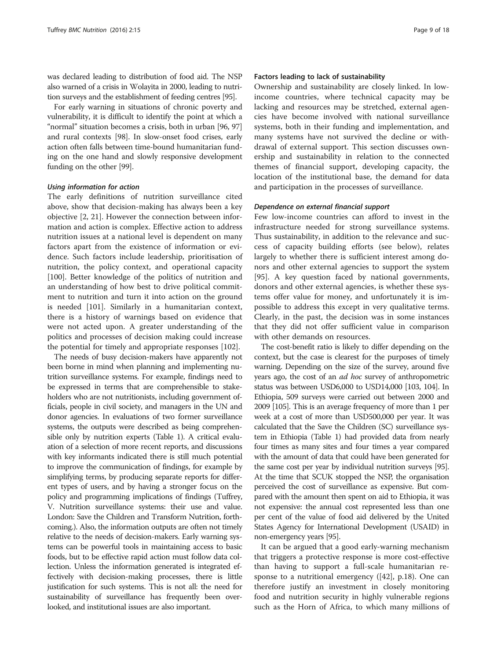was declared leading to distribution of food aid. The NSP also warned of a crisis in Wolayita in 2000, leading to nutrition surveys and the establishment of feeding centres [\[95\]](#page-16-0).

For early warning in situations of chronic poverty and vulnerability, it is difficult to identify the point at which a "normal" situation becomes a crisis, both in urban [\[96, 97](#page-16-0)] and rural contexts [[98](#page-16-0)]. In slow-onset food crises, early action often falls between time-bound humanitarian funding on the one hand and slowly responsive development funding on the other [\[99](#page-16-0)].

#### Using information for action

The early definitions of nutrition surveillance cited above, show that decision-making has always been a key objective [[2, 21\]](#page-14-0). However the connection between information and action is complex. Effective action to address nutrition issues at a national level is dependent on many factors apart from the existence of information or evidence. Such factors include leadership, prioritisation of nutrition, the policy context, and operational capacity [[100\]](#page-16-0). Better knowledge of the politics of nutrition and an understanding of how best to drive political commitment to nutrition and turn it into action on the ground is needed [[101](#page-16-0)]. Similarly in a humanitarian context, there is a history of warnings based on evidence that were not acted upon. A greater understanding of the politics and processes of decision making could increase the potential for timely and appropriate responses [[102\]](#page-16-0).

The needs of busy decision-makers have apparently not been borne in mind when planning and implementing nutrition surveillance systems. For example, findings need to be expressed in terms that are comprehensible to stakeholders who are not nutritionists, including government officials, people in civil society, and managers in the UN and donor agencies. In evaluations of two former surveillance systems, the outputs were described as being comprehensible only by nutrition experts (Table [1\)](#page-5-0). A critical evaluation of a selection of more recent reports, and discussions with key informants indicated there is still much potential to improve the communication of findings, for example by simplifying terms, by producing separate reports for different types of users, and by having a stronger focus on the policy and programming implications of findings (Tuffrey, V. Nutrition surveillance systems: their use and value. London: Save the Children and Transform Nutrition, forthcoming.). Also, the information outputs are often not timely relative to the needs of decision-makers. Early warning systems can be powerful tools in maintaining access to basic foods, but to be effective rapid action must follow data collection. Unless the information generated is integrated effectively with decision-making processes, there is little justification for such systems. This is not all: the need for sustainability of surveillance has frequently been overlooked, and institutional issues are also important.

#### Factors leading to lack of sustainability

Ownership and sustainability are closely linked. In lowincome countries, where technical capacity may be lacking and resources may be stretched, external agencies have become involved with national surveillance systems, both in their funding and implementation, and many systems have not survived the decline or withdrawal of external support. This section discusses ownership and sustainability in relation to the connected themes of financial support, developing capacity, the location of the institutional base, the demand for data and participation in the processes of surveillance.

#### Dependence on external financial support

Few low-income countries can afford to invest in the infrastructure needed for strong surveillance systems. Thus sustainability, in addition to the relevance and success of capacity building efforts (see below), relates largely to whether there is sufficient interest among donors and other external agencies to support the system [[95\]](#page-16-0). A key question faced by national governments, donors and other external agencies, is whether these systems offer value for money, and unfortunately it is impossible to address this except in very qualitative terms. Clearly, in the past, the decision was in some instances that they did not offer sufficient value in comparison with other demands on resources.

The cost-benefit ratio is likely to differ depending on the context, but the case is clearest for the purposes of timely warning. Depending on the size of the survey, around five years ago, the cost of an ad hoc survey of anthropometric status was between USD6,000 to USD14,000 [\[103, 104\]](#page-16-0). In Ethiopia, 509 surveys were carried out between 2000 and 2009 [\[105](#page-16-0)]. This is an average frequency of more than 1 per week at a cost of more than USD500,000 per year. It was calculated that the Save the Children (SC) surveillance system in Ethiopia (Table [1\)](#page-5-0) had provided data from nearly four times as many sites and four times a year compared with the amount of data that could have been generated for the same cost per year by individual nutrition surveys [\[95](#page-16-0)]. At the time that SCUK stopped the NSP, the organisation perceived the cost of surveillance as expensive. But compared with the amount then spent on aid to Ethiopia, it was not expensive: the annual cost represented less than one per cent of the value of food aid delivered by the United States Agency for International Development (USAID) in non-emergency years [[95](#page-16-0)].

It can be argued that a good early-warning mechanism that triggers a protective response is more cost-effective than having to support a full-scale humanitarian response to a nutritional emergency ([[42\]](#page-15-0), p.18). One can therefore justify an investment in closely monitoring food and nutrition security in highly vulnerable regions such as the Horn of Africa, to which many millions of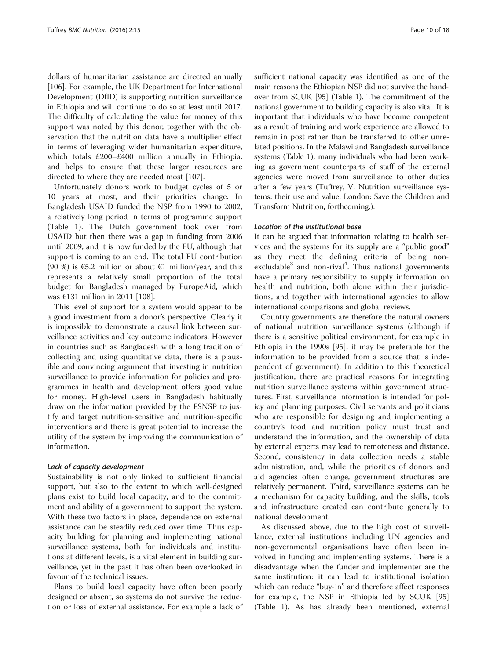dollars of humanitarian assistance are directed annually [[106\]](#page-16-0). For example, the UK Department for International Development (DfID) is supporting nutrition surveillance in Ethiopia and will continue to do so at least until 2017. The difficulty of calculating the value for money of this support was noted by this donor, together with the observation that the nutrition data have a multiplier effect in terms of leveraging wider humanitarian expenditure, which totals £200–£400 million annually in Ethiopia, and helps to ensure that these larger resources are directed to where they are needed most [[107](#page-16-0)].

Unfortunately donors work to budget cycles of 5 or 10 years at most, and their priorities change. In Bangladesh USAID funded the NSP from 1990 to 2002, a relatively long period in terms of programme support (Table [1](#page-5-0)). The Dutch government took over from USAID but then there was a gap in funding from 2006 until 2009, and it is now funded by the EU, although that support is coming to an end. The total EU contribution (90 %) is  $\epsilon$ 5.2 million or about  $\epsilon$ 1 million/year, and this represents a relatively small proportion of the total budget for Bangladesh managed by EuropeAid, which was €131 million in 2011 [[108\]](#page-16-0).

This level of support for a system would appear to be a good investment from a donor's perspective. Clearly it is impossible to demonstrate a causal link between surveillance activities and key outcome indicators. However in countries such as Bangladesh with a long tradition of collecting and using quantitative data, there is a plausible and convincing argument that investing in nutrition surveillance to provide information for policies and programmes in health and development offers good value for money. High-level users in Bangladesh habitually draw on the information provided by the FSNSP to justify and target nutrition-sensitive and nutrition-specific interventions and there is great potential to increase the utility of the system by improving the communication of information.

#### Lack of capacity development

Sustainability is not only linked to sufficient financial support, but also to the extent to which well-designed plans exist to build local capacity, and to the commitment and ability of a government to support the system. With these two factors in place, dependence on external assistance can be steadily reduced over time. Thus capacity building for planning and implementing national surveillance systems, both for individuals and institutions at different levels, is a vital element in building surveillance, yet in the past it has often been overlooked in favour of the technical issues.

Plans to build local capacity have often been poorly designed or absent, so systems do not survive the reduction or loss of external assistance. For example a lack of sufficient national capacity was identified as one of the main reasons the Ethiopian NSP did not survive the handover from SCUK [[95](#page-16-0)] (Table [1](#page-5-0)). The commitment of the national government to building capacity is also vital. It is important that individuals who have become competent as a result of training and work experience are allowed to remain in post rather than be transferred to other unrelated positions. In the Malawi and Bangladesh surveillance systems (Table [1](#page-5-0)), many individuals who had been working as government counterparts of staff of the external agencies were moved from surveillance to other duties after a few years (Tuffrey, V. Nutrition surveillance systems: their use and value. London: Save the Children and Transform Nutrition, forthcoming.).

#### Location of the institutional base

It can be argued that information relating to health services and the systems for its supply are a "public good" as they meet the defining criteria of being nonexcludable<sup>3</sup> and non-rival<sup>4</sup>. Thus national governments have a primary responsibility to supply information on health and nutrition, both alone within their jurisdictions, and together with international agencies to allow international comparisons and global reviews.

Country governments are therefore the natural owners of national nutrition surveillance systems (although if there is a sensitive political environment, for example in Ethiopia in the 1990s [[95\]](#page-16-0), it may be preferable for the information to be provided from a source that is independent of government). In addition to this theoretical justification, there are practical reasons for integrating nutrition surveillance systems within government structures. First, surveillance information is intended for policy and planning purposes. Civil servants and politicians who are responsible for designing and implementing a country's food and nutrition policy must trust and understand the information, and the ownership of data by external experts may lead to remoteness and distance. Second, consistency in data collection needs a stable administration, and, while the priorities of donors and aid agencies often change, government structures are relatively permanent. Third, surveillance systems can be a mechanism for capacity building, and the skills, tools and infrastructure created can contribute generally to national development.

As discussed above, due to the high cost of surveillance, external institutions including UN agencies and non-governmental organisations have often been involved in funding and implementing systems. There is a disadvantage when the funder and implementer are the same institution: it can lead to institutional isolation which can reduce "buy-in" and therefore affect responses for example, the NSP in Ethiopia led by SCUK [[95](#page-16-0)] (Table [1\)](#page-5-0). As has already been mentioned, external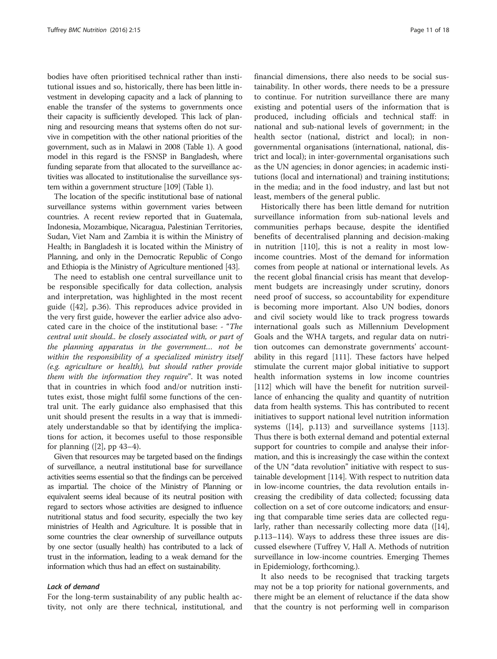bodies have often prioritised technical rather than institutional issues and so, historically, there has been little investment in developing capacity and a lack of planning to enable the transfer of the systems to governments once their capacity is sufficiently developed. This lack of planning and resourcing means that systems often do not survive in competition with the other national priorities of the government, such as in Malawi in 2008 (Table [1](#page-5-0)). A good model in this regard is the FSNSP in Bangladesh, where funding separate from that allocated to the surveillance activities was allocated to institutionalise the surveillance system within a government structure [\[109\]](#page-16-0) (Table [1\)](#page-5-0).

The location of the specific institutional base of national surveillance systems within government varies between countries. A recent review reported that in Guatemala, Indonesia, Mozambique, Nicaragua, Palestinian Territories, Sudan, Viet Nam and Zambia it is within the Ministry of Health; in Bangladesh it is located within the Ministry of Planning, and only in the Democratic Republic of Congo and Ethiopia is the Ministry of Agriculture mentioned [\[43](#page-15-0)].

The need to establish one central surveillance unit to be responsible specifically for data collection, analysis and interpretation, was highlighted in the most recent guide ([\[42](#page-15-0)], p.36). This reproduces advice provided in the very first guide, however the earlier advice also advocated care in the choice of the institutional base: - "The central unit should.. be closely associated with, or part of the planning apparatus in the government… not be within the responsibility of a specialized ministry itself (e.g. agriculture or health), but should rather provide them with the information they require". It was noted that in countries in which food and/or nutrition institutes exist, those might fulfil some functions of the central unit. The early guidance also emphasised that this unit should present the results in a way that is immediately understandable so that by identifying the implications for action, it becomes useful to those responsible for planning  $([2], pp 43-4)$  $([2], pp 43-4)$  $([2], pp 43-4)$ .

Given that resources may be targeted based on the findings of surveillance, a neutral institutional base for surveillance activities seems essential so that the findings can be perceived as impartial. The choice of the Ministry of Planning or equivalent seems ideal because of its neutral position with regard to sectors whose activities are designed to influence nutritional status and food security, especially the two key ministries of Health and Agriculture. It is possible that in some countries the clear ownership of surveillance outputs by one sector (usually health) has contributed to a lack of trust in the information, leading to a weak demand for the information which thus had an effect on sustainability.

#### Lack of demand

For the long-term sustainability of any public health activity, not only are there technical, institutional, and

financial dimensions, there also needs to be social sustainability. In other words, there needs to be a pressure to continue. For nutrition surveillance there are many existing and potential users of the information that is produced, including officials and technical staff: in national and sub-national levels of government; in the health sector (national, district and local); in nongovernmental organisations (international, national, district and local); in inter-governmental organisations such as the UN agencies; in donor agencies; in academic institutions (local and international) and training institutions; in the media; and in the food industry, and last but not least, members of the general public.

Historically there has been little demand for nutrition surveillance information from sub-national levels and communities perhaps because, despite the identified benefits of decentralised planning and decision-making in nutrition [\[110](#page-16-0)], this is not a reality in most lowincome countries. Most of the demand for information comes from people at national or international levels. As the recent global financial crisis has meant that development budgets are increasingly under scrutiny, donors need proof of success, so accountability for expenditure is becoming more important. Also UN bodies, donors and civil society would like to track progress towards international goals such as Millennium Development Goals and the WHA targets, and regular data on nutrition outcomes can demonstrate governments' accountability in this regard [\[111](#page-16-0)]. These factors have helped stimulate the current major global initiative to support health information systems in low income countries [[112\]](#page-16-0) which will have the benefit for nutrition surveillance of enhancing the quality and quantity of nutrition data from health systems. This has contributed to recent initiatives to support national level nutrition information systems ([[14\]](#page-14-0), p.113) and surveillance systems [[113](#page-16-0)]. Thus there is both external demand and potential external support for countries to compile and analyse their information, and this is increasingly the case within the context of the UN "data revolution" initiative with respect to sustainable development [\[114\]](#page-17-0). With respect to nutrition data in low-income countries, the data revolution entails increasing the credibility of data collected; focussing data collection on a set of core outcome indicators; and ensuring that comparable time series data are collected regularly, rather than necessarily collecting more data ([[14](#page-14-0)], p.113–114). Ways to address these three issues are discussed elsewhere (Tuffrey V, Hall A. Methods of nutrition surveillance in low-income countries. Emerging Themes in Epidemiology, forthcoming.).

It also needs to be recognised that tracking targets may not be a top priority for national governments, and there might be an element of reluctance if the data show that the country is not performing well in comparison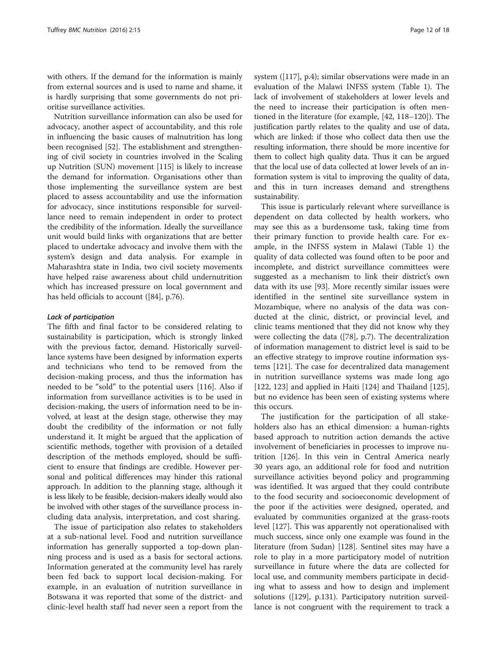with others. If the demand for the information is mainly from external sources and is used to name and shame, it is hardly surprising that some governments do not prioritise surveillance activities.

Nutrition surveillance information can also be used for advocacy, another aspect of accountability, and this role in influencing the basic causes of malnutrition has long been recognised [[52\]](#page-15-0). The establishment and strengthening of civil society in countries involved in the Scaling up Nutrition (SUN) movement [[115\]](#page-17-0) is likely to increase the demand for information. Organisations other than those implementing the surveillance system are best placed to assess accountability and use the information for advocacy, since institutions responsible for surveillance need to remain independent in order to protect the credibility of the information. Ideally the surveillance unit would build links with organizations that are better placed to undertake advocacy and involve them with the system's design and data analysis. For example in Maharashtra state in India, two civil society movements have helped raise awareness about child undernutrition which has increased pressure on local government and has held officials to account ([\[84](#page-16-0)], p.76).

#### Lack of participation

The fifth and final factor to be considered relating to sustainability is participation, which is strongly linked with the previous factor, demand. Historically surveillance systems have been designed by information experts and technicians who tend to be removed from the decision-making process, and thus the information has needed to be "sold" to the potential users [\[116\]](#page-17-0). Also if information from surveillance activities is to be used in decision-making, the users of information need to be involved, at least at the design stage, otherwise they may doubt the credibility of the information or not fully understand it. It might be argued that the application of scientific methods, together with provision of a detailed description of the methods employed, should be sufficient to ensure that findings are credible. However personal and political differences may hinder this rational approach. In addition to the planning stage, although it is less likely to be feasible, decision-makers ideally would also be involved with other stages of the surveillance process including data analysis, interpretation, and cost sharing.

The issue of participation also relates to stakeholders at a sub-national level. Food and nutrition surveillance information has generally supported a top-down planning process and is used as a basis for sectoral actions. Information generated at the community level has rarely been fed back to support local decision-making. For example, in an evaluation of nutrition surveillance in Botswana it was reported that some of the district- and clinic-level health staff had never seen a report from the system ([[117](#page-17-0)], p.4); similar observations were made in an evaluation of the Malawi INFSS system (Table [1\)](#page-5-0). The lack of involvement of stakeholders at lower levels and the need to increase their participation is often mentioned in the literature (for example, [[42](#page-15-0), [118](#page-17-0)–[120\]](#page-17-0)). The justification partly relates to the quality and use of data, which are linked: if those who collect data then use the resulting information, there should be more incentive for them to collect high quality data. Thus it can be argued that the local use of data collected at lower levels of an information system is vital to improving the quality of data, and this in turn increases demand and strengthens sustainability.

This issue is particularly relevant where surveillance is dependent on data collected by health workers, who may see this as a burdensome task, taking time from their primary function to provide health care. For example, in the INFSS system in Malawi (Table [1](#page-5-0)) the quality of data collected was found often to be poor and incomplete, and district surveillance committees were suggested as a mechanism to link their district's own data with its use [\[93](#page-16-0)]. More recently similar issues were identified in the sentinel site surveillance system in Mozambique, where no analysis of the data was conducted at the clinic, district, or provincial level, and clinic teams mentioned that they did not know why they were collecting the data ([[78\]](#page-16-0), p.7). The decentralization of information management to district level is said to be an effective strategy to improve routine information systems [[121](#page-17-0)]. The case for decentralized data management in nutrition surveillance systems was made long ago [[122, 123\]](#page-17-0) and applied in Haiti [[124\]](#page-17-0) and Thailand [[125](#page-17-0)], but no evidence has been seen of existing systems where this occurs.

The justification for the participation of all stakeholders also has an ethical dimension: a human-rights based approach to nutrition action demands the active involvement of beneficiaries in processes to improve nutrition [\[126](#page-17-0)]. In this vein in Central America nearly 30 years ago, an additional role for food and nutrition surveillance activities beyond policy and programming was identified. It was argued that they could contribute to the food security and socioeconomic development of the poor if the activities were designed, operated, and evaluated by communities organized at the grass-roots level [[127](#page-17-0)]. This was apparently not operationalised with much success, since only one example was found in the literature (from Sudan) [\[128](#page-17-0)]. Sentinel sites may have a role to play in a more participatory model of nutrition surveillance in future where the data are collected for local use, and community members participate in deciding what to assess and how to design and implement solutions ([[129](#page-17-0)], p.131). Participatory nutrition surveillance is not congruent with the requirement to track a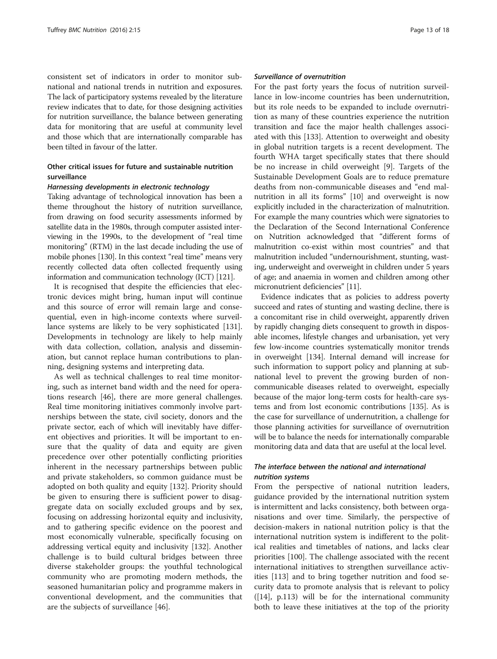consistent set of indicators in order to monitor subnational and national trends in nutrition and exposures. The lack of participatory systems revealed by the literature review indicates that to date, for those designing activities for nutrition surveillance, the balance between generating data for monitoring that are useful at community level and those which that are internationally comparable has been tilted in favour of the latter.

#### Other critical issues for future and sustainable nutrition surveillance

#### Harnessing developments in electronic technology

Taking advantage of technological innovation has been a theme throughout the history of nutrition surveillance, from drawing on food security assessments informed by satellite data in the 1980s, through computer assisted interviewing in the 1990s, to the development of "real time monitoring" (RTM) in the last decade including the use of mobile phones [\[130\]](#page-17-0). In this context "real time" means very recently collected data often collected frequently using information and communication technology (ICT) [\[121](#page-17-0)].

It is recognised that despite the efficiencies that electronic devices might bring, human input will continue and this source of error will remain large and consequential, even in high-income contexts where surveillance systems are likely to be very sophisticated [\[131](#page-17-0)]. Developments in technology are likely to help mainly with data collection, collation, analysis and dissemination, but cannot replace human contributions to planning, designing systems and interpreting data.

As well as technical challenges to real time monitoring, such as internet band width and the need for operations research [\[46](#page-15-0)], there are more general challenges. Real time monitoring initiatives commonly involve partnerships between the state, civil society, donors and the private sector, each of which will inevitably have different objectives and priorities. It will be important to ensure that the quality of data and equity are given precedence over other potentially conflicting priorities inherent in the necessary partnerships between public and private stakeholders, so common guidance must be adopted on both quality and equity [[132](#page-17-0)]. Priority should be given to ensuring there is sufficient power to disaggregate data on socially excluded groups and by sex, focusing on addressing horizontal equity and inclusivity, and to gathering specific evidence on the poorest and most economically vulnerable, specifically focusing on addressing vertical equity and inclusivity [[132](#page-17-0)]. Another challenge is to build cultural bridges between three diverse stakeholder groups: the youthful technological community who are promoting modern methods, the seasoned humanitarian policy and programme makers in conventional development, and the communities that are the subjects of surveillance [[46\]](#page-15-0).

#### Surveillance of overnutrition

For the past forty years the focus of nutrition surveillance in low-income countries has been undernutrition, but its role needs to be expanded to include overnutrition as many of these countries experience the nutrition transition and face the major health challenges associated with this [\[133\]](#page-17-0). Attention to overweight and obesity in global nutrition targets is a recent development. The fourth WHA target specifically states that there should be no increase in child overweight [[9\]](#page-14-0). Targets of the Sustainable Development Goals are to reduce premature deaths from non-communicable diseases and "end malnutrition in all its forms" [[10\]](#page-14-0) and overweight is now explicitly included in the characterization of malnutrition. For example the many countries which were signatories to the Declaration of the Second International Conference on Nutrition acknowledged that "different forms of malnutrition co-exist within most countries" and that malnutrition included "undernourishment, stunting, wasting, underweight and overweight in children under 5 years of age; and anaemia in women and children among other micronutrient deficiencies" [\[11\]](#page-14-0).

Evidence indicates that as policies to address poverty succeed and rates of stunting and wasting decline, there is a concomitant rise in child overweight, apparently driven by rapidly changing diets consequent to growth in disposable incomes, lifestyle changes and urbanisation, yet very few low-income countries systematically monitor trends in overweight [\[134\]](#page-17-0). Internal demand will increase for such information to support policy and planning at subnational level to prevent the growing burden of noncommunicable diseases related to overweight, especially because of the major long-term costs for health-care systems and from lost economic contributions [[135](#page-17-0)]. As is the case for surveillance of undernutrition, a challenge for those planning activities for surveillance of overnutrition will be to balance the needs for internationally comparable monitoring data and data that are useful at the local level.

#### The interface between the national and international nutrition systems

From the perspective of national nutrition leaders, guidance provided by the international nutrition system is intermittent and lacks consistency, both between organisations and over time. Similarly, the perspective of decision-makers in national nutrition policy is that the international nutrition system is indifferent to the political realities and timetables of nations, and lacks clear priorities [[100](#page-16-0)]. The challenge associated with the recent international initiatives to strengthen surveillance activities [\[113](#page-16-0)] and to bring together nutrition and food security data to promote analysis that is relevant to policy ([\[14\]](#page-14-0), p.113) will be for the international community both to leave these initiatives at the top of the priority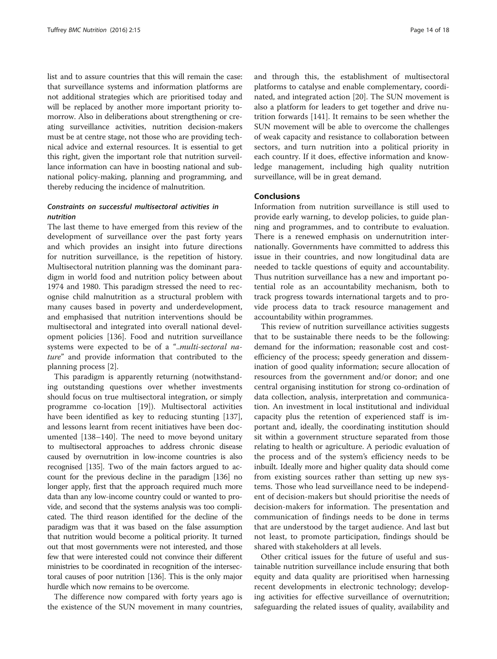list and to assure countries that this will remain the case: that surveillance systems and information platforms are not additional strategies which are prioritised today and will be replaced by another more important priority tomorrow. Also in deliberations about strengthening or creating surveillance activities, nutrition decision-makers must be at centre stage, not those who are providing technical advice and external resources. It is essential to get this right, given the important role that nutrition surveillance information can have in boosting national and subnational policy-making, planning and programming, and thereby reducing the incidence of malnutrition.

### Constraints on successful multisectoral activities in nutrition

The last theme to have emerged from this review of the development of surveillance over the past forty years and which provides an insight into future directions for nutrition surveillance, is the repetition of history. Multisectoral nutrition planning was the dominant paradigm in world food and nutrition policy between about 1974 and 1980. This paradigm stressed the need to recognise child malnutrition as a structural problem with many causes based in poverty and underdevelopment, and emphasised that nutrition interventions should be multisectoral and integrated into overall national development policies [\[136](#page-17-0)]. Food and nutrition surveillance systems were expected to be of a "..multi-sectoral nature" and provide information that contributed to the planning process [[2\]](#page-14-0).

This paradigm is apparently returning (notwithstanding outstanding questions over whether investments should focus on true multisectoral integration, or simply programme co-location [[19\]](#page-14-0)). Multisectoral activities have been identified as key to reducing stunting [\[137](#page-17-0)], and lessons learnt from recent initiatives have been documented [\[138](#page-17-0)–[140](#page-17-0)]. The need to move beyond unitary to multisectoral approaches to address chronic disease caused by overnutrition in low-income countries is also recognised [\[135](#page-17-0)]. Two of the main factors argued to account for the previous decline in the paradigm [[136\]](#page-17-0) no longer apply, first that the approach required much more data than any low-income country could or wanted to provide, and second that the systems analysis was too complicated. The third reason identified for the decline of the paradigm was that it was based on the false assumption that nutrition would become a political priority. It turned out that most governments were not interested, and those few that were interested could not convince their different ministries to be coordinated in recognition of the intersectoral causes of poor nutrition [[136\]](#page-17-0). This is the only major hurdle which now remains to be overcome.

The difference now compared with forty years ago is the existence of the SUN movement in many countries, and through this, the establishment of multisectoral platforms to catalyse and enable complementary, coordinated, and integrated action [[20\]](#page-14-0). The SUN movement is also a platform for leaders to get together and drive nutrition forwards [[141](#page-17-0)]. It remains to be seen whether the SUN movement will be able to overcome the challenges of weak capacity and resistance to collaboration between sectors, and turn nutrition into a political priority in each country. If it does, effective information and knowledge management, including high quality nutrition surveillance, will be in great demand.

#### Conclusions

Information from nutrition surveillance is still used to provide early warning, to develop policies, to guide planning and programmes, and to contribute to evaluation. There is a renewed emphasis on undernutrition internationally. Governments have committed to address this issue in their countries, and now longitudinal data are needed to tackle questions of equity and accountability. Thus nutrition surveillance has a new and important potential role as an accountability mechanism, both to track progress towards international targets and to provide process data to track resource management and accountability within programmes.

This review of nutrition surveillance activities suggests that to be sustainable there needs to be the following: demand for the information; reasonable cost and costefficiency of the process; speedy generation and dissemination of good quality information; secure allocation of resources from the government and/or donor; and one central organising institution for strong co-ordination of data collection, analysis, interpretation and communication. An investment in local institutional and individual capacity plus the retention of experienced staff is important and, ideally, the coordinating institution should sit within a government structure separated from those relating to health or agriculture. A periodic evaluation of the process and of the system's efficiency needs to be inbuilt. Ideally more and higher quality data should come from existing sources rather than setting up new systems. Those who lead surveillance need to be independent of decision-makers but should prioritise the needs of decision-makers for information. The presentation and communication of findings needs to be done in terms that are understood by the target audience. And last but not least, to promote participation, findings should be shared with stakeholders at all levels.

Other critical issues for the future of useful and sustainable nutrition surveillance include ensuring that both equity and data quality are prioritised when harnessing recent developments in electronic technology; developing activities for effective surveillance of overnutrition; safeguarding the related issues of quality, availability and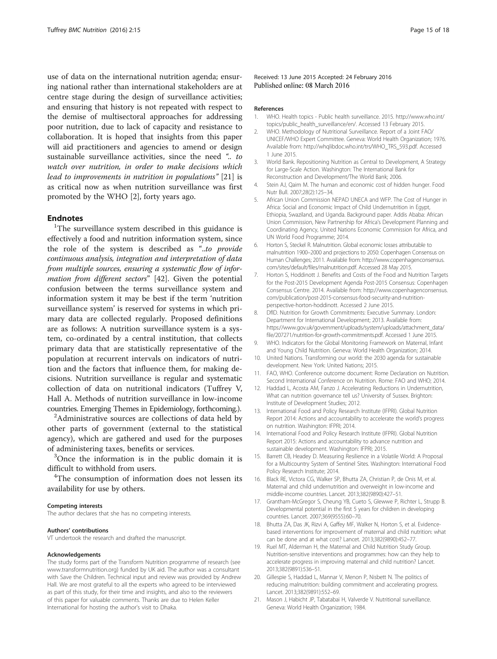<span id="page-14-0"></span>use of data on the international nutrition agenda; ensuring national rather than international stakeholders are at centre stage during the design of surveillance activities; and ensuring that history is not repeated with respect to the demise of multisectoral approaches for addressing poor nutrition, due to lack of capacity and resistance to collaboration. It is hoped that insights from this paper will aid practitioners and agencies to amend or design sustainable surveillance activities, since the need "... to watch over nutrition, in order to make decisions which lead to improvements in nutrition in populations" [21] is as critical now as when nutrition surveillance was first promoted by the WHO [2], forty years ago.

#### **Endnotes**

<sup>1</sup>The surveillance system described in this guidance is effectively a food and nutrition information system, since the role of the system is described as "..to provide continuous analysis, integration and interpretation of data from multiple sources, ensuring a systematic flow of infor-mation from different sectors" [[42\]](#page-15-0). Given the potential confusion between the terms surveillance system and information system it may be best if the term 'nutrition surveillance system' is reserved for systems in which primary data are collected regularly. Proposed definitions are as follows: A nutrition surveillance system is a system, co-ordinated by a central institution, that collects primary data that are statistically representative of the population at recurrent intervals on indicators of nutrition and the factors that influence them, for making decisions. Nutrition surveillance is regular and systematic collection of data on nutritional indicators (Tuffrey V, Hall A. Methods of nutrition surveillance in low-income countries. Emerging Themes in Epidemiology, forthcoming.). <sup>2</sup>

<sup>2</sup>Administrative sources are collections of data held by other parts of government (external to the statistical agency), which are gathered and used for the purposes of administering taxes, benefits or services. <sup>3</sup>

<sup>3</sup>Once the information is in the public domain it is difficult to withhold from users.

<sup>4</sup>The consumption of information does not lessen its availability for use by others.

#### Competing interests

The author declares that she has no competing interests.

#### Authors' contributions

VT undertook the research and drafted the manuscript.

#### Acknowledgements

The study forms part of the Transform Nutrition programme of research (see [www.transformnutrition.org](http://www.transformnutrition.org)) funded by UK aid. The author was a consultant with Save the Children. Technical input and review was provided by Andrew Hall. We are most grateful to all the experts who agreed to be interviewed as part of this study, for their time and insights, and also to the reviewers of this paper for valuable comments. Thanks are due to Helen Keller International for hosting the author's visit to Dhaka.

Received: 13 June 2015 Accepted: 24 February 2016 Published online: 08 March 2016

#### References

- 1. WHO. Health topics Public health surveillance. 2015. [http://www.who.int/](http://www.who.int/topics/public_health_surveillance/en/) [topics/public\\_health\\_surveillance/en/.](http://www.who.int/topics/public_health_surveillance/en/) Accessed 13 February 2015.
- 2. WHO. Methodology of Nutritional Surveillance. Report of a Joint FAO/ UNICEF/WHO Expert Committee. Geneva: World Health Organization; 1976. Available from: [http://whqlibdoc.who.int/trs/WHO\\_TRS\\_593.pdf.](http://whqlibdoc.who.int/trs/WHO_TRS_593.pdf) Accessed 1 June 2015.
- 3. World Bank. Repositioning Nutrition as Central to Development, A Strategy for Large-Scale Action. Washington: The International Bank for Reconstruction and Development/The World Bank; 2006.
- 4. Stein AJ, Qaim M. The human and economic cost of hidden hunger. Food Nutr Bull. 2007;28(2):125–34.
- 5. African Union Commission NEPAD UNECA and WFP. The Cost of Hunger in Africa: Social and Economic Impact of Child Undernutrition in Egypt, Ethiopia, Swaziland, and Uganda. Background paper. Addis Ababa: African Union Commission, New Partnership for Africa's Development Planning and Coordinating Agency, United Nations Economic Commission for Africa, and UN World Food Programme; 2014.
- 6. Horton S, Steckel R. Malnutrition. Global economic losses attributable to malnutrition 1900–2000 and projections to 2050: Copenhagen Consensus on Human Challenges; 2011. Available from: [http://www.copenhagenconsensus.](http://www.copenhagenconsensus.com/sites/default/files/malnutrition.pdf) [com/sites/default/files/malnutrition.pdf.](http://www.copenhagenconsensus.com/sites/default/files/malnutrition.pdf) Accessed 28 May 2015.
- 7. Horton S, Hoddinott J. Benefits and Costs of the Food and Nutrition Targets for the Post-2015 Development Agenda Post-2015 Consensus: Copenhagen Consensus Centre. 2014. Available from: [http://www.copenhagenconsensus.](http://www.copenhagenconsensus.com/publication/post-2015-consensus-food-security-and-nutrition-perspective-horton-hoddinott) [com/publication/post-2015-consensus-food-security-and-nutrition](http://www.copenhagenconsensus.com/publication/post-2015-consensus-food-security-and-nutrition-perspective-horton-hoddinott)[perspective-horton-hoddinott](http://www.copenhagenconsensus.com/publication/post-2015-consensus-food-security-and-nutrition-perspective-horton-hoddinott). Accessed 2 June 2015.
- 8. DfID. Nutrition for Growth Commitments: Executive Summary. London: Department for International Development; 2013. Available from: [https://www.gov.uk/government/uploads/system/uploads/attachment\\_data/](https://www.gov.uk/government/uploads/system/uploads/attachment_data/file/207271/nutrition-for-growth-commitments.pdf) [file/207271/nutrition-for-growth-commitments.pdf.](https://www.gov.uk/government/uploads/system/uploads/attachment_data/file/207271/nutrition-for-growth-commitments.pdf) Accessed 1 June 2015.
- 9. WHO. Indicators for the Global Monitoring Framework on Maternal, Infant and Young Child Nutrition. Geneva: World Health Organization; 2014.
- 10. United Nations. Transforming our world: the 2030 agenda for sustainable development. New York: United Nations; 2015.
- 11. FAO, WHO. Conference outcome document: Rome Declaration on Nutrition. Second International Conference on Nutrition. Rome: FAO and WHO; 2014.
- 12. Haddad L, Acosta AM, Fanzo J. Accelerating Reductions in Undernutrition, What can nutrition governance tell us? University of Sussex. Brighton: Institute of Development Studies; 2012.
- 13. International Food and Policy Research Institute (IFPRI). Global Nutrition Report 2014: Actions and accountability to accelerate the world's progress on nutrition. Washington: IFPRI; 2014.
- 14. International Food and Policy Research Institute (IFPRI). Global Nutrition Report 2015: Actions and accountability to advance nutrition and sustainable development. Washington: IFPRI; 2015.
- 15. Barrett CB, Headey D. Measuring Resilience in a Volatile World: A Proposal for a Multicountry System of Sentinel Sites. Washington: International Food Policy Research Institute; 2014.
- 16. Black RE, Victora CG, Walker SP, Bhutta ZA, Christian P, de Onis M, et al. Maternal and child undernutrition and overweight in low-income and middle-income countries. Lancet. 2013;382(9890):427–51.
- 17. Grantham-McGregor S, Cheung YB, Cueto S, Glewwe P, Richter L, Strupp B. Developmental potential in the first 5 years for children in developing countries. Lancet. 2007;369(9555):60–70.
- 18. Bhutta ZA, Das JK, Rizvi A, Gaffey MF, Walker N, Horton S, et al. Evidencebased interventions for improvement of maternal and child nutrition: what can be done and at what cost? Lancet. 2013;382(9890):452–77.
- 19. Ruel MT, Alderman H, the Maternal and Child Nutrition Study Group. Nutrition-sensitive interventions and programmes: how can they help to accelerate progress in improving maternal and child nutrition? Lancet. 2013;382(9891):536–51.
- 20. Gillespie S, Haddad L, Mannar V, Menon P, Nisbett N. The politics of reducing malnutrition: building commitment and accelerating progress. Lancet. 2013;382(9891):552–69.
- 21. Mason J, Habicht JP, Tabatabai H, Valverde V. Nutritional surveillance. Geneva: World Health Organization; 1984.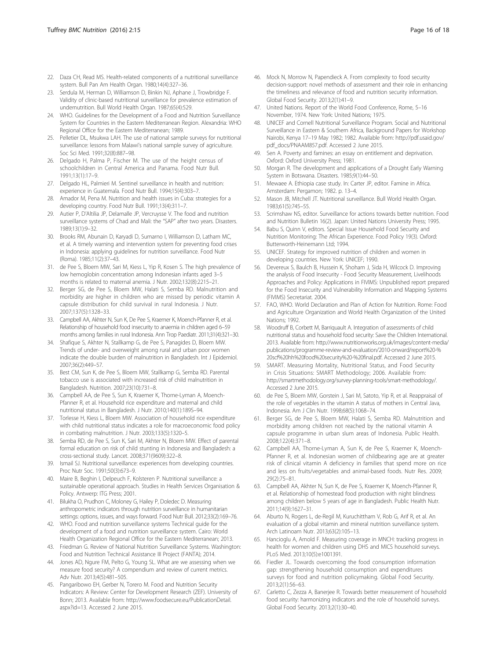- <span id="page-15-0"></span>22. Daza CH, Read MS. Health-related components of a nutritional surveillance system. Bull Pan Am Health Organ. 1980;14(4):327–36.
- 23. Serdula M, Herman D, Williamson D, Binkin NJ, Aphane J, Trowbridge F. Validity of clinic-based nutritional surveillance for prevalence estimation of undernutrition. Bull World Health Organ. 1987;65(4):529.
- 24. WHO. Guidelines for the Development of a Food and Nutrition Surveillance System for Countries in the Eastern Mediterranean Region. Alexandria: WHO Regional Office for the Eastern Mediterranean; 1989.
- 25. Pelletier DL, Msukwa LAH. The use of national sample surveys for nutritional surveillance: lessons from Malawi's national sample survey of agriculture. Soc Sci Med. 1991;32(8):887–98.
- 26. Delgado H, Palma P, Fischer M. The use of the height census of schoolchildren in Central America and Panama. Food Nutr Bull. 1991;13(1):17–9.
- 27. Delgado HL, Palmieri M. Sentinel surveillance in health and nutrition: experience in Guatemala. Food Nutr Bull. 1994;15(4):303–7.
- 28. Amador M, Pena M. Nutrition and health issues in Cuba: strategies for a developing country. Food Nutr Bull. 1991;13(4):311–7.
- 29. Autier P, D'Altilia JP, Delamalle JP, Vercruysse V. The food and nutrition surveillance systems of Chad and Mali: the "SAP" after two years. Disasters. 1989;13(1):9–32.
- 30. Brooks RM, Abunain D, Karyadi D, Sumarno I, Williamson D, Latham MC, et al. A timely warning and intervention system for preventing food crises in Indonesia: applying guidelines for nutrition surveillance. Food Nutr (Roma). 1985;11(2):37–43.
- 31. de Pee S, Bloem MW, Sari M, Kiess L, Yip R, Kosen S. The high prevalence of low hemoglobin concentration among Indonesian infants aged 3–5 months is related to maternal anemia. J Nutr. 2002;132(8):2215–21.
- 32. Berger SG, de Pee S, Bloem MW, Halati S, Semba RD. Malnutrition and morbidity are higher in children who are missed by periodic vitamin A capsule distribution for child survival in rural Indonesia. J Nutr. 2007;137(5):1328–33.
- 33. Campbell AA, Akhter N, Sun K, De Pee S, Kraemer K, Moench-Pfanner R, et al. Relationship of household food insecurity to anaemia in children aged 6–59 months among families in rural Indonesia. Ann Trop Paediatr. 2011;31(4):321–30.
- 34. Shafique S, Akhter N, Stallkamp G, de Pee S, Panagides D, Bloem MW. Trends of under- and overweight among rural and urban poor women indicate the double burden of malnutrition in Bangladesh. Int J Epidemiol. 2007;36(2):449–57.
- 35. Best CM, Sun K, de Pee S, Bloem MW, Stallkamp G, Semba RD. Parental tobacco use is associated with increased risk of child malnutrition in Bangladesh. Nutrition. 2007;23(10):731–8.
- 36. Campbell AA, de Pee S, Sun K, Kraemer K, Thorne-Lyman A, Moench-Pfanner R, et al. Household rice expenditure and maternal and child nutritional status in Bangladesh. J Nutr. 2010;140(1):189S–94.
- 37. Torlesse H, Kiess L, Bloem MW. Association of household rice expenditure with child nutritional status indicates a role for macroeconomic food policy in combating malnutrition. J Nutr. 2003;133(5):1320–5.
- 38. Semba RD, de Pee S, Sun K, Sari M, Akhter N, Bloem MW. Effect of parental formal education on risk of child stunting in Indonesia and Bangladesh: a cross-sectional study. Lancet. 2008;371(9609):322–8.
- 39. Ismail SJ. Nutritional surveillance: experiences from developing countries. Proc Nutr Soc. 1991;50(3):673–9.
- 40. Maire B, Beghin I, Delpeuch F, Kolsteren P. Nutritional surveillance: a sustainable operational approach. Studies in Health Services Organisation & Policy. Antwerp: ITG Press; 2001.
- 41. Bilukha O, Prudhon C, Moloney G, Hailey P, Doledec D. Measuring anthropometric indicators through nutrition surveillance in humanitarian settings: options, issues, and ways forward. Food Nutr Bull. 2012;33(2):169–76.
- 42. WHO. Food and nutrition surveillance systems Technical guide for the development of a food and nutrition surveillance system. Cairo: World Health Organization Regional Office for the Eastern Mediterranean; 2013.
- 43. Friedman G. Review of National Nutrition Surveillance Systems. Washington: Food and Nutrition Technical Assistance III Project (FANTA); 2014.
- 44. Jones AD, Ngure FM, Pelto G, Young SL. What are we assessing when we measure food security? A compendium and review of current metrics. Adv Nutr. 2013;4(5):481–505.
- 45. Pangaribowo EH, Gerber N, Torero M. Food and Nutrition Security Indicators: A Review: Center for Development Research (ZEF). University of Bonn; 2013. Available from: [http://www.foodsecure.eu/PublicationDetail.](http://www.foodsecure.eu/PublicationDetail.aspx?id=13) [aspx?id=13](http://www.foodsecure.eu/PublicationDetail.aspx?id=13). Accessed 2 June 2015.
- 46. Mock N, Morrow N, Papendieck A. From complexity to food security decision-support: novel methods of assessment and their role in enhancing the timeliness and relevance of food and nutrition security information. Global Food Security. 2013;2(1):41–9.
- 47. United Nations. Report of the World Food Conference, Rome, 5–16 November, 1974. New York: United Nations; 1975.
- 48. UNICEF and Cornell Nutritional Surveillance Program. Social and Nutritional Surveillance in Eastern & Southern Africa, Background Papers for Workshop Nairobi, Kenya 17–19 May 1982; 1982. Available from: [http://pdf.usaid.gov/](http://pdf.usaid.gov/pdf_docs/PNAAM857.pdf) [pdf\\_docs/PNAAM857.pdf.](http://pdf.usaid.gov/pdf_docs/PNAAM857.pdf) Accessed 2 June 2015.
- 49. Sen A. Poverty and famines: an essay on entitlement and deprivation. Oxford: Oxford University Press; 1981.
- 50. Morgan R. The development and applications of a Drought Early Warning System in Botswana. Disasters. 1985;9(1):44–50.
- 51. Mewaee A. Ethiopia case study. In: Carter JP, editor. Famine in Africa. Amsterdam: Pergamon; 1982. p. 13–4.
- 52. Mason JB, Mitchell JT. Nutritional surveillance. Bull World Health Organ. 1983;61(5):745–55.
- 53. Scrimshaw NS, editor. Surveillance for actions towards better nutrition. Food and Nutrition Bulletin 16(2). Japan: United Nations University Press; 1995.
- 54. Babu S, Quinn V, editors. Special Issue Household Food Security and Nutrition Monitoring: The African Experience. Food Policy 19(3). Oxford: Butterworth-Heinemann Ltd; 1994.
- 55. UNICEF. Strategy for improved nutrition of children and women in developing countries. New York: UNICEF; 1990.
- 56. Devereux S, Baulch B, Hussein K, Shoham J, Sida H, Wilcock D. Improving the analysis of Food Insecurity - Food Security Measurement, Livelihoods Approaches and Policy: Applications in FIVIMS: Unpublished report prepared for the Food Insecurity and Vulnerability Information and Mapping Systems (FIVIMS) Secretariat. 2004.
- 57. FAO, WHO. World Declaration and Plan of Action for Nutrition. Rome: Food and Agriculture Organization and World Health Organization of the United Nations; 1992.
- 58. Woodruff B, Corbett M, Barriquault A. Integration of assessments of child nutritional status and household food security: Save the Children International. 2013. Available from: [http://www.nutritionworks.org.uk/images/content-media/](http://www.nutritionworks.org.uk/images/content-media/publications/programme-review-and-evaluation/2010-onward/report%20-%20scf%20hh%20food%20security%20-%20final.pdf) [publications/programme-review-and-evaluation/2010-onward/report%20-%](http://www.nutritionworks.org.uk/images/content-media/publications/programme-review-and-evaluation/2010-onward/report%20-%20scf%20hh%20food%20security%20-%20final.pdf) [20scf%20hh%20food%20security%20-%20final.pdf](http://www.nutritionworks.org.uk/images/content-media/publications/programme-review-and-evaluation/2010-onward/report%20-%20scf%20hh%20food%20security%20-%20final.pdf). Accessed 2 June 2015.
- 59. SMART. Measuring Mortality, Nutritional Status, and Food Security in Crisis Situations: SMART Methodology; 2006. Available from: <http://smartmethodology.org/survey-planning-tools/smart-methodology/>. Accessed 2 June 2015.
- 60. de Pee S, Bloem MW, Gorstein J, Sari M, Satoto, Yip R, et al. Reappraisal of the role of vegetables in the vitamin A status of mothers in Central Java, Indonesia. Am J Clin Nutr. 1998;68(5):1068–74.
- 61. Berger SG, de Pee S, Bloem MW, Halati S, Semba RD. Malnutrition and morbidity among children not reached by the national vitamin A capsule programme in urban slum areas of Indonesia. Public Health. 2008;122(4):371–8.
- 62. Campbell AA, Thorne-Lyman A, Sun K, de Pee S, Kraemer K, Moench-Pfanner R, et al. Indonesian women of childbearing age are at greater risk of clinical vitamin A deficiency in families that spend more on rice and less on fruits/vegetables and animal-based foods. Nutr Res. 2009; 29(2):75–81.
- 63. Campbell AA, Akhter N, Sun K, de Pee S, Kraemer K, Moench-Pfanner R, et al. Relationship of homestead food production with night blindness among children below 5 years of age in Bangladesh. Public Health Nutr. 2011;14(9):1627–31.
- 64. Aburto N, Rogers L, de-Regil M, Kuruchittham V, Rob G, Arif R, et al. An evaluation of a global vitamin and mineral nutrition surveillance system. Arch Latinoam Nutr. 2013;63(2):105–13.
- 65. Hancioglu A, Arnold F. Measuring coverage in MNCH: tracking progress in health for women and children using DHS and MICS household surveys. PLoS Med. 2013;10(5):e1001391.
- 66. Fiedler JL. Towards overcoming the food consumption information gap: strengthening household consumption and expenditures surveys for food and nutrition policymaking. Global Food Security. 2013;2(1):56–63.
- 67. Carletto C, Zezza A, Banerjee R. Towards better measurement of household food security: harmonizing indicators and the role of household surveys. Global Food Security. 2013;2(1):30–40.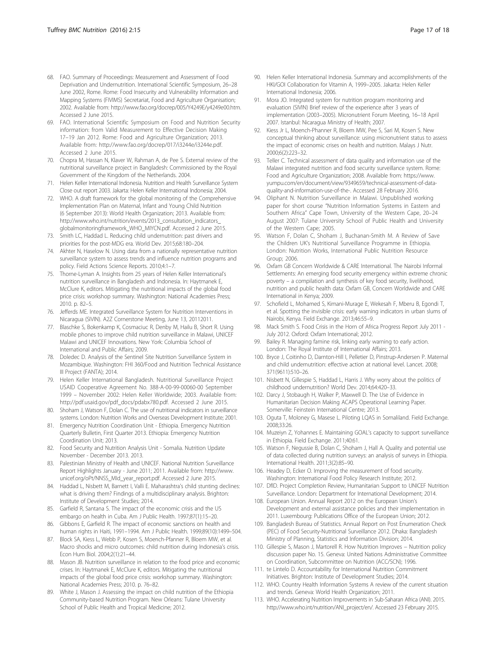- <span id="page-16-0"></span>68. FAO. Summary of Proceedings: Measurement and Assessment of Food Deprivation and Undernutrition. International Scientific Symposium, 26–28 June 2002, Rome. Rome: Food Insecurity and Vulnerability Information and Mapping Systems (FIVIMS) Secretariat, Food and Agriculture Organisation; 2002. Available from: [http://www.fao.org/docrep/005/Y4249E/y4249e00.htm.](http://www.fao.org/docrep/005/Y4249E/y4249e00.htm) Accessed 2 June 2015.
- 69. FAO. International Scientific Symposium on Food and Nutrition Security information: from Valid Measurement to Effective Decision Making 17–19 Jan 2012. Rome: Food and Agriculture Organization; 2013. Available from:<http://www.fao.org/docrep/017/i3244e/i3244e.pdf>. Accessed 2 June 2015.
- 70. Chopra M, Hassan N, Klaver W, Rahman A, de Pee S. External review of the nutritional surveillance project in Bangladesh: Commissioned by the Royal Government of the Kingdom of the Netherlands. 2004.
- 71. Helen Keller International Indonesia. Nutrition and Health Surveillance System Close out report 2003. Jakarta: Helen Keller International Indonesia; 2004.
- 72. WHO. A draft framework for the global monitoring of the Comprehensive Implementation Plan on Maternal, Infant and Young Child Nutrition (6 September 2013): World Health Organization; 2013. Available from: [http://www.who.int/nutrition/events/2013\\_consultation\\_indicators\\_](http://www.who.int/nutrition/events/2013_consultation_indicators_globalmonitoringframework_WHO_MIYCN.pdf) [globalmonitoringframework\\_WHO\\_MIYCN.pdf.](http://www.who.int/nutrition/events/2013_consultation_indicators_globalmonitoringframework_WHO_MIYCN.pdf) Accessed 2 June 2015.
- 73. Smith LC, Haddad L. Reducing child undernutrition: past drivers and priorities for the post-MDG era. World Dev. 2015;68:180–204.
- 74. Akhter N, Haselow N. Using data from a nationally representative nutrition surveillance system to assess trends and influence nutrition programs and policy. Field Actions Science Reports. 2010;4:1–7.
- 75. Thorne-Lyman A. Insights from 25 years of Helen Keller International's nutrition surveillance in Bangladesh and Indonesia. In: Haytmanek E, McClure K, editors. Mitigating the nutritional impacts of the global food price crisis: workshop summary. Washington: National Academies Press; 2010. p. 82–5.
- 76. Jefferds ME. Integrated Surveillance System for Nutrition Interventions in Nicaragua (SIVIN). A2Z Cornerstone Meeting, June 13, 20112011.
- 77. Blaschke S, Bokenkamp K, Cosmaciuc R, Denby M, Hailu B, Short R. Using mobile phones to improve child nutrition surveillance in Malawi, UNICEF Malawi and UNICEF Innovations. New York: Columbia School of International and Public Affairs; 2009.
- 78. Doledec D. Analysis of the Sentinel Site Nutrition Surveillance System in Mozambique. Washington: FHI 360/Food and Nutrition Technical Assistance III Project (FANTA); 2014.
- 79. Helen Keller International Bangladesh. Nutritional Surveillance Project USAID Cooperative Agreement No. 388-A-00-99-00060-00 September 1999 – November 2002: Helen Keller Worldwide; 2003. Available from: [http://pdf.usaid.gov/pdf\\_docs/pdabx780.pdf](http://pdf.usaid.gov/pdf_docs/pdabx780.pdf). Accessed 2 June 2015.
- 80. Shoham J, Watson F, Dolan C. The use of nutritional indicators in surveillance systems. London: Nutrition Works and Overseas Development Institute; 2001.
- 81. Emergency Nutrition Coordination Unit Ethiopia. Emergency Nutrition Quarterly Bulletin, First Quarter 2013. Ethiopia: Emergency Nutrition Coordination Unit; 2013.
- 82. Food Security and Nutrition Analysis Unit Somalia. Nutrition Update November - December 2013. 2013.
- 83. Palestinian Ministry of Health and UNICEF. National Nutrition Surveillance Report Highlights January - June 2011; 2011. Available from: [http://www.](http://www.unicef.org/oPt/NNSS_MId_year_report.pdf) [unicef.org/oPt/NNSS\\_MId\\_year\\_report.pdf](http://www.unicef.org/oPt/NNSS_MId_year_report.pdf). Accessed 2 June 2015.
- 84. Haddad L, Nisbett M, Barnett I, Valli E. Maharashtra's child stunting declines: what is driving them? Findings of a multidisciplinary analysis. Brighton: Institute of Development Studies; 2014.
- 85. Garfield R, Santana S. The impact of the economic crisis and the US embargo on health in Cuba. Am J Public Health. 1997;87(1):15–20.
- 86. Gibbons E, Garfield R. The impact of economic sanctions on health and human rights in Haiti, 1991–1994. Am J Public Health. 1999;89(10):1499–504.
- 87. Block SA, Kiess L, Webb P, Kosen S, Moench-Pfanner R, Bloem MW, et al. Macro shocks and micro outcomes: child nutrition during Indonesia's crisis. Econ Hum Biol. 2004;2(1):21–44.
- 88. Mason JB. Nutrition surveillance in relation to the food price and economic crises. In: Haytmanek E, McClure K, editors. Mitigating the nutritional impacts of the global food price crisis: workshop summary. Washington: National Academies Press; 2010. p. 76–82.
- 89. White J, Mason J. Assessing the impact on child nutrition of the Ethiopia Community-based Nutrition Program. New Orleans: Tulane University School of Public Health and Tropical Medicine; 2012.
- 90. Helen Keller International Indonesia. Summary and accomplishments of the HKI/GOI Collaboration for Vitamin A, 1999–2005. Jakarta: Helen Keller International Indonesia; 2006.
- 91. Mora JO. Integrated system for nutrition program monitoring and evaluation (SIVIN) Brief review of the experience after 3 years of implementation (2003–2005). Micronutrient Forum Meeting, 16–18 April 2007. Istanbul: Nicaragua Ministry of Health; 2007.
- 92. Kiess Jr L, Moench-Phanner R, Bloem MW, Pee S, Sari M, Kosen S. New conceptual thinking about surveillance: using micronutrient status to assess the impact of economic crises on health and nutrition. Malays J Nutr. 2000;6(2):223–32.
- 93. Teller C. Technical assessment of data quality and information use of the Malawi integrated nutrition and food security surveillance system. Rome: Food and Agriculture Organization; 2008. Available from: [https://www.](https://www.yumpu.com/en/document/view/9349659/technical-assessment-of-data-quality-and-information-use-of-the-) [yumpu.com/en/document/view/9349659/technical-assessment-of-data](https://www.yumpu.com/en/document/view/9349659/technical-assessment-of-data-quality-and-information-use-of-the-)[quality-and-information-use-of-the-.](https://www.yumpu.com/en/document/view/9349659/technical-assessment-of-data-quality-and-information-use-of-the-) Accessed 28 February 2016.
- 94. Oliphant N. Nutrition Surveillance in Malawi. Unpublished working paper for short course "Nutrition Information Systems in Eastern and Southern Africa" Cape Town, University of the Western Cape, 20–24 August 2007: Tulane University School of Public Health and University of the Western Cape; 2005.
- 95. Watson F, Dolan C, Shoham J, Buchanan-Smith M. A Review of Save the Children UK's Nutritional Surveillance Programme in Ethiopia. London: Nutrition Works, International Public Nutrition Resource Group; 2006.
- 96. Oxfam GB Concern Worldwide & CARE International. The Nairobi Informal Settlements: An emerging food security emergency within extreme chronic poverty – a compilation and synthesis of key food security, livelihood, nutrition and public health data: Oxfam GB, Concern Worldwide and CARE International in Kenya; 2009.
- 97. Schofield L, Mohamed S, Kimani-Murage E, Wekesah F, Mberu B, Egondi T, et al. Spotting the invisible crisis: early warning indicators in urban slums of Nairobi, Kenya. Field Exchange. 2013;46:55–9.
- 98. Mack Smith S. Food Crisis in the Horn of Africa Progress Report July 2011 July 2012. Oxford: Oxfam International; 2012.
- 99. Bailey R. Managing famine risk, linking early warning to early action. London: The Royal Institute of International Affairs; 2013.
- 100. Bryce J, Coitinho D, Darnton-Hill I, Pelletier D, Pinstrup-Andersen P. Maternal and child undernutrition: effective action at national level. Lancet. 2008; 371(9611):510–26.
- 101. Nisbett N, Gillespie S, Haddad L, Harris J. Why worry about the politics of childhood undernutrition? World Dev. 2014;64:420–33.
- 102. Darcy J, Stobaugh H, Walker P, Maxwell D. The Use of Evidence in Humanitarian Decision Making ACAPS Operational Learning Paper. Somerville: Feinstein International Centre; 2013.
- 103. Oguta T, Moloney G, Masese L. Piloting LQAS in Somaliland. Field Exchange. 2008;33:26.
- 104. Muzeiyn Z, Yohannes E. Maintaining GOAL's capacity to support surveillance in Ethiopia. Field Exchange. 2011;40:61.
- 105. Watson F, Negussie B, Dolan C, Shoham J, Hall A. Quality and potential use of data collected during nutrition surveys: an analysis of surveys in Ethiopia. International Health. 2011;3(2):85–90.
- 106. Headey D, Ecker O. Improving the measurement of food security. Washington: International Food Policy Research Institute; 2012.
- 107. DfID. Project Completion Review, Humanitarian Support to UNICEF Nutrition Surveillance. London: Department for International Development; 2014.
- 108. European Union. Annual Report 2012 on the European Union's Development and external assistance policies and their implementation in 2011. Luxembourg: Publications Office of the European Union; 2012.
- 109. Bangladesh Bureau of Statistics. Annual Report on Post Enumeration Check (PEC) of Food Security-Nutritional Surveillance 2012. Dhaka: Bangladesh Ministry of Planning, Statistics and Information Division; 2014.
- 110. Gillespie S, Mason J, Martorell R. How Nutrition Improves − Nutrition policy discussion paper No. 15. Geneva: United Nations Administrative Committee on Coordination, Subcommittee on Nutrition (ACC/SCN); 1996.
- 111. te Lintelo D. Accountability for International Nutrition Commitment Initiatives. Brighton: Institute of Development Studies; 2014.
- 112. WHO. Country Health Information Systems A review of the current situation and trends. Geneva: World Health Organization; 2011.
- 113. WHO. Accelerating Nutrition Improvements in Sub-Saharan Africa (ANI). 2015. [http://www.who.int/nutrition/ANI\\_project/en/.](http://www.who.int/nutrition/ANI_project/en/) Accessed 23 February 2015.